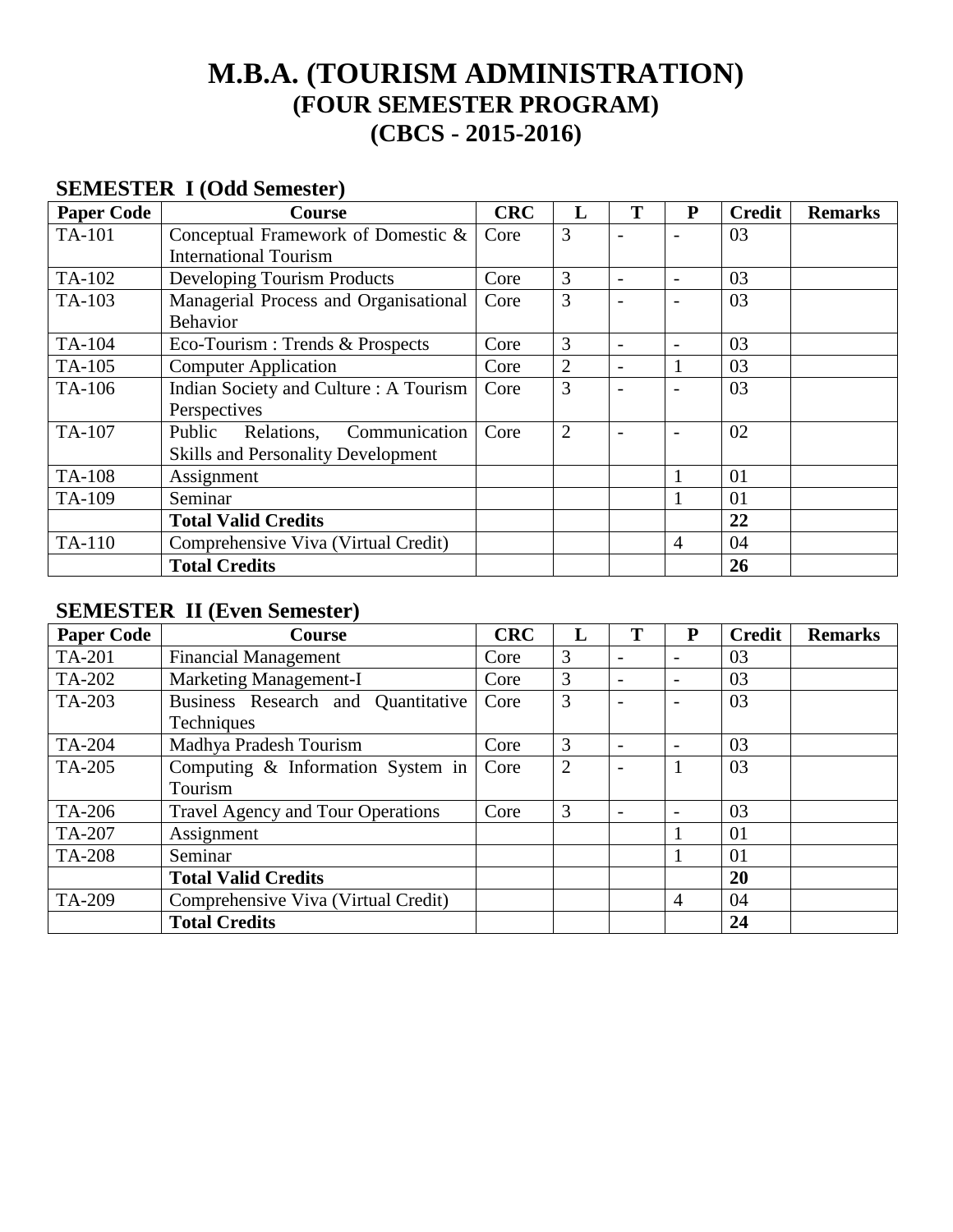# **M.B.A. (TOURISM ADMINISTRATION) (FOUR SEMESTER PROGRAM) (CBCS - 2015-2016)**

# **SEMESTER I (Odd Semester)**

| <b>Paper Code</b> | Course                                    | <b>CRC</b> | L              | T                        | P | <b>Credit</b> | <b>Remarks</b> |
|-------------------|-------------------------------------------|------------|----------------|--------------------------|---|---------------|----------------|
| TA-101            | Conceptual Framework of Domestic &        | Core       | 3              |                          |   | 03            |                |
|                   | <b>International Tourism</b>              |            |                |                          |   |               |                |
| TA-102            | Developing Tourism Products               | Core       | 3              | $\overline{\phantom{0}}$ |   | 03            |                |
| TA-103            | Managerial Process and Organisational     | Core       | 3              |                          |   | 03            |                |
|                   | <b>Behavior</b>                           |            |                |                          |   |               |                |
| TA-104            | Eco-Tourism: Trends & Prospects           | Core       | 3              | $\qquad \qquad$          |   | 03            |                |
| TA-105            | <b>Computer Application</b>               | Core       | $\overline{2}$ | $\overline{\phantom{0}}$ |   | 03            |                |
| TA-106            | Indian Society and Culture: A Tourism     | Core       | 3              |                          |   | 03            |                |
|                   | Perspectives                              |            |                |                          |   |               |                |
| TA-107            | Communication<br>Public<br>Relations,     | Core       | $\overline{2}$ |                          |   | 02            |                |
|                   | <b>Skills and Personality Development</b> |            |                |                          |   |               |                |
| <b>TA-108</b>     | Assignment                                |            |                |                          |   | 01            |                |
| TA-109            | Seminar                                   |            |                |                          | 1 | 01            |                |
|                   | <b>Total Valid Credits</b>                |            |                |                          |   | 22            |                |
| TA-110            | Comprehensive Viva (Virtual Credit)       |            |                |                          | 4 | 04            |                |
|                   | <b>Total Credits</b>                      |            |                |                          |   | 26            |                |

# **SEMESTER II (Even Semester)**

| <b>Paper Code</b>                           | <b>Course</b>                            | <b>CRC</b> |                | т                        | $\mathbf{P}$ | <b>Credit</b> | <b>Remarks</b> |
|---------------------------------------------|------------------------------------------|------------|----------------|--------------------------|--------------|---------------|----------------|
| TA-201                                      | <b>Financial Management</b>              | Core       | 3              | $\qquad \qquad$          |              | 03            |                |
| TA-202                                      | <b>Marketing Management-I</b>            | Core       | 3              | $\overline{\phantom{0}}$ |              | 03            |                |
| TA-203                                      | Business Research and Quantitative       | Core       | 3              |                          |              | 03            |                |
|                                             | Techniques                               |            |                |                          |              |               |                |
| TA-204                                      | Madhya Pradesh Tourism                   | Core       | 3              |                          |              | 03            |                |
| Computing & Information System in<br>TA-205 |                                          | Core       | $\overline{2}$ | $\overline{\phantom{0}}$ |              | 03            |                |
|                                             | Tourism                                  |            |                |                          |              |               |                |
| TA-206                                      | <b>Travel Agency and Tour Operations</b> | Core       | 3              | $\overline{\phantom{0}}$ |              | 03            |                |
| TA-207                                      | Assignment                               |            |                |                          |              | 01            |                |
| <b>TA-208</b>                               | Seminar                                  |            |                |                          |              | 01            |                |
|                                             | <b>Total Valid Credits</b>               |            |                |                          |              | 20            |                |
| TA-209                                      | Comprehensive Viva (Virtual Credit)      |            |                |                          | 4            | 04            |                |
|                                             | <b>Total Credits</b>                     |            |                |                          |              | 24            |                |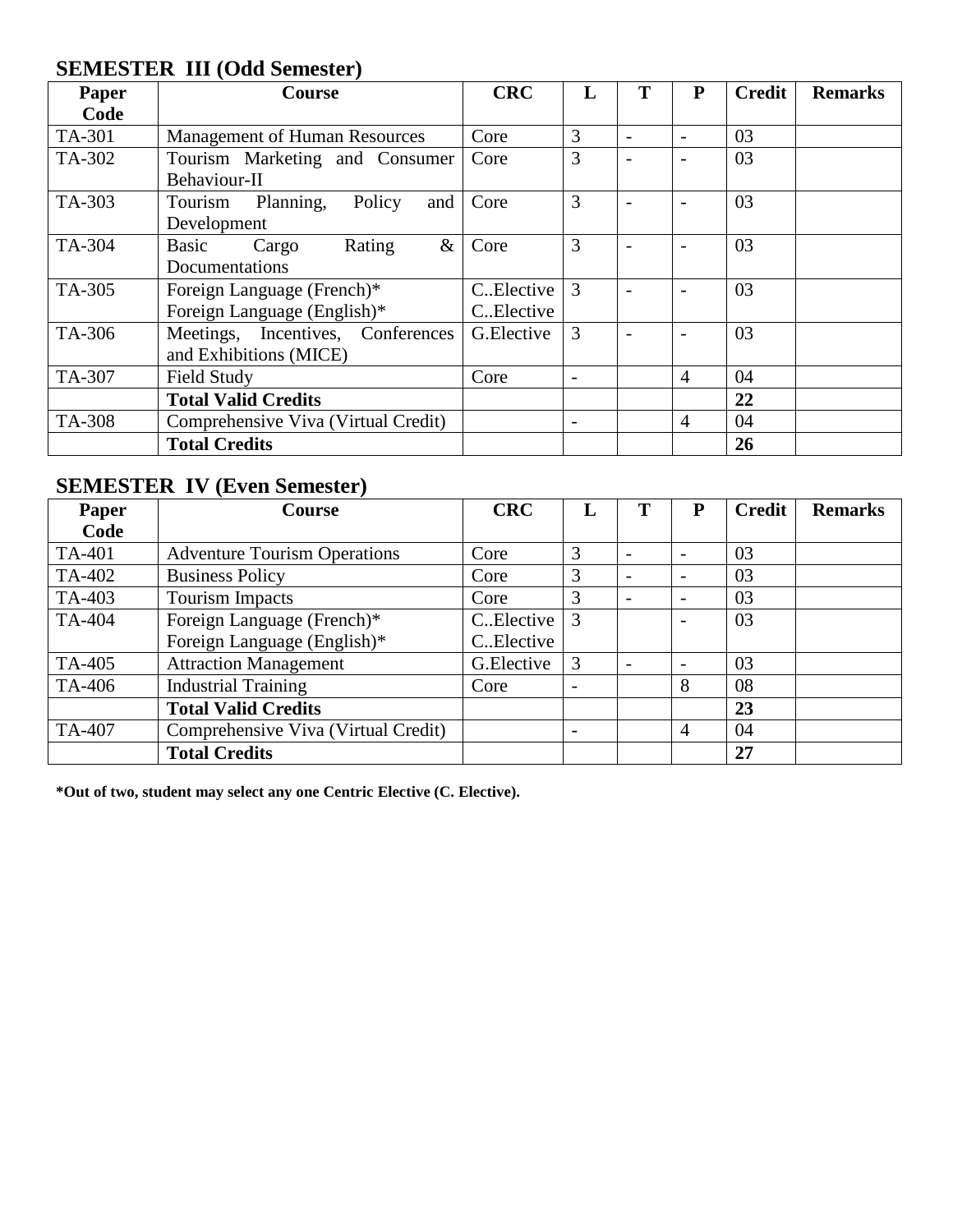# **SEMESTER III (Odd Semester)**

| <b>Paper</b> | <b>Course</b>                        | <b>CRC</b>  |                          | P              | <b>Credit</b> | <b>Remarks</b> |
|--------------|--------------------------------------|-------------|--------------------------|----------------|---------------|----------------|
| Code         |                                      |             |                          |                |               |                |
| TA-301       | <b>Management of Human Resources</b> | Core        | 3                        |                | 03            |                |
| TA-302       | Tourism Marketing and Consumer       | Core        | 3                        |                | 03            |                |
|              | Behaviour-II                         |             |                          |                |               |                |
| TA-303       | Tourism Planning,<br>Policy<br>and   | Core        | 3                        |                | 03            |                |
|              | Development                          |             |                          |                |               |                |
| TA-304       | Rating<br>$\&$<br>Basic<br>Cargo     | Core        | 3                        |                | 03            |                |
|              | Documentations                       |             |                          |                |               |                |
| TA-305       | Foreign Language (French)*           | C. Elective | 3                        |                | 03            |                |
|              | Foreign Language (English)*          | C. Elective |                          |                |               |                |
| TA-306       | Meetings, Incentives, Conferences    | G.Elective  | 3                        |                | 03            |                |
|              | and Exhibitions (MICE)               |             |                          |                |               |                |
| TA-307       | Field Study                          | Core        |                          | $\overline{4}$ | 04            |                |
|              | <b>Total Valid Credits</b>           |             |                          |                | 22            |                |
| TA-308       | Comprehensive Viva (Virtual Credit)  |             | $\overline{\phantom{a}}$ | $\overline{4}$ | 04            |                |
|              | <b>Total Credits</b>                 |             |                          |                | 26            |                |

# **SEMESTER IV (Even Semester)**

| <b>Paper</b> | Course                              | <b>CRC</b>  |   | Р              | <b>Credit</b> | <b>Remarks</b> |
|--------------|-------------------------------------|-------------|---|----------------|---------------|----------------|
| Code         |                                     |             |   |                |               |                |
| TA-401       | <b>Adventure Tourism Operations</b> | Core        | 3 |                | 03            |                |
| TA-402       | <b>Business Policy</b>              | Core        | 3 |                | 03            |                |
| TA-403       | <b>Tourism Impacts</b>              | Core        | 3 |                | 03            |                |
| TA-404       | Foreign Language (French)*          | C. Elective | 3 |                | 03            |                |
|              | Foreign Language (English)*         | CElective   |   |                |               |                |
| TA-405       | <b>Attraction Management</b>        | G.Elective  | 3 |                | 03            |                |
| TA-406       | <b>Industrial Training</b>          | Core        |   | 8              | 08            |                |
|              | <b>Total Valid Credits</b>          |             |   |                | 23            |                |
| TA-407       | Comprehensive Viva (Virtual Credit) |             |   | $\overline{4}$ | 04            |                |
|              | <b>Total Credits</b>                |             |   |                | 27            |                |

**\*Out of two, student may select any one Centric Elective (C. Elective).**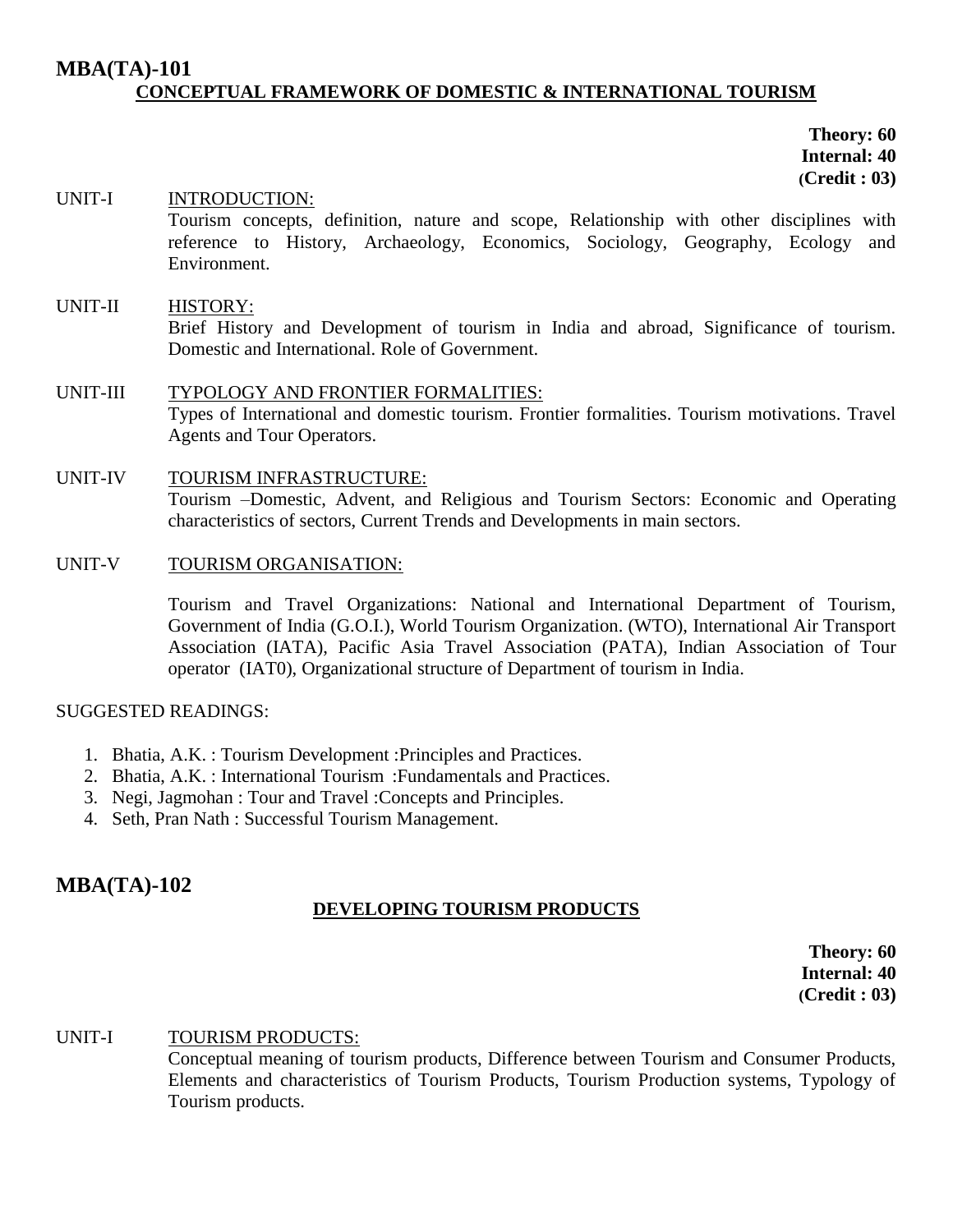# **MBA(TA)-101 CONCEPTUAL FRAMEWORK OF DOMESTIC & INTERNATIONAL TOURISM**

**Theory: 60 Internal: 40 (Credit : 03)**

UNIT-I INTRODUCTION: Tourism concepts, definition, nature and scope, Relationship with other disciplines with reference to History, Archaeology, Economics, Sociology, Geography, Ecology and Environment. UNIT-II HISTORY: Brief History and Development of tourism in India and abroad, Significance of tourism. Domestic and International. Role of Government. UNIT-III TYPOLOGY AND FRONTIER FORMALITIES: Types of International and domestic tourism. Frontier formalities. Tourism motivations. Travel Agents and Tour Operators. UNIT-IV TOURISM INFRASTRUCTURE:

Tourism –Domestic, Advent, and Religious and Tourism Sectors: Economic and Operating characteristics of sectors, Current Trends and Developments in main sectors.

### UNIT-V TOURISM ORGANISATION:

Tourism and Travel Organizations: National and International Department of Tourism, Government of India (G.O.I.), World Tourism Organization. (WTO), International Air Transport Association (IATA), Pacific Asia Travel Association (PATA), Indian Association of Tour operator (IAT0), Organizational structure of Department of tourism in India.

#### SUGGESTED READINGS:

- 1. Bhatia, A.K. : Tourism Development :Principles and Practices.
- 2. Bhatia, A.K. : International Tourism :Fundamentals and Practices.
- 3. Negi, Jagmohan : Tour and Travel :Concepts and Principles.
- 4. Seth, Pran Nath : Successful Tourism Management.

# **MBA(TA)-102**

# **DEVELOPING TOURISM PRODUCTS**

**Theory: 60 Internal: 40 (Credit : 03)**

#### UNIT-I TOURISM PRODUCTS:

Conceptual meaning of tourism products, Difference between Tourism and Consumer Products, Elements and characteristics of Tourism Products, Tourism Production systems, Typology of Tourism products.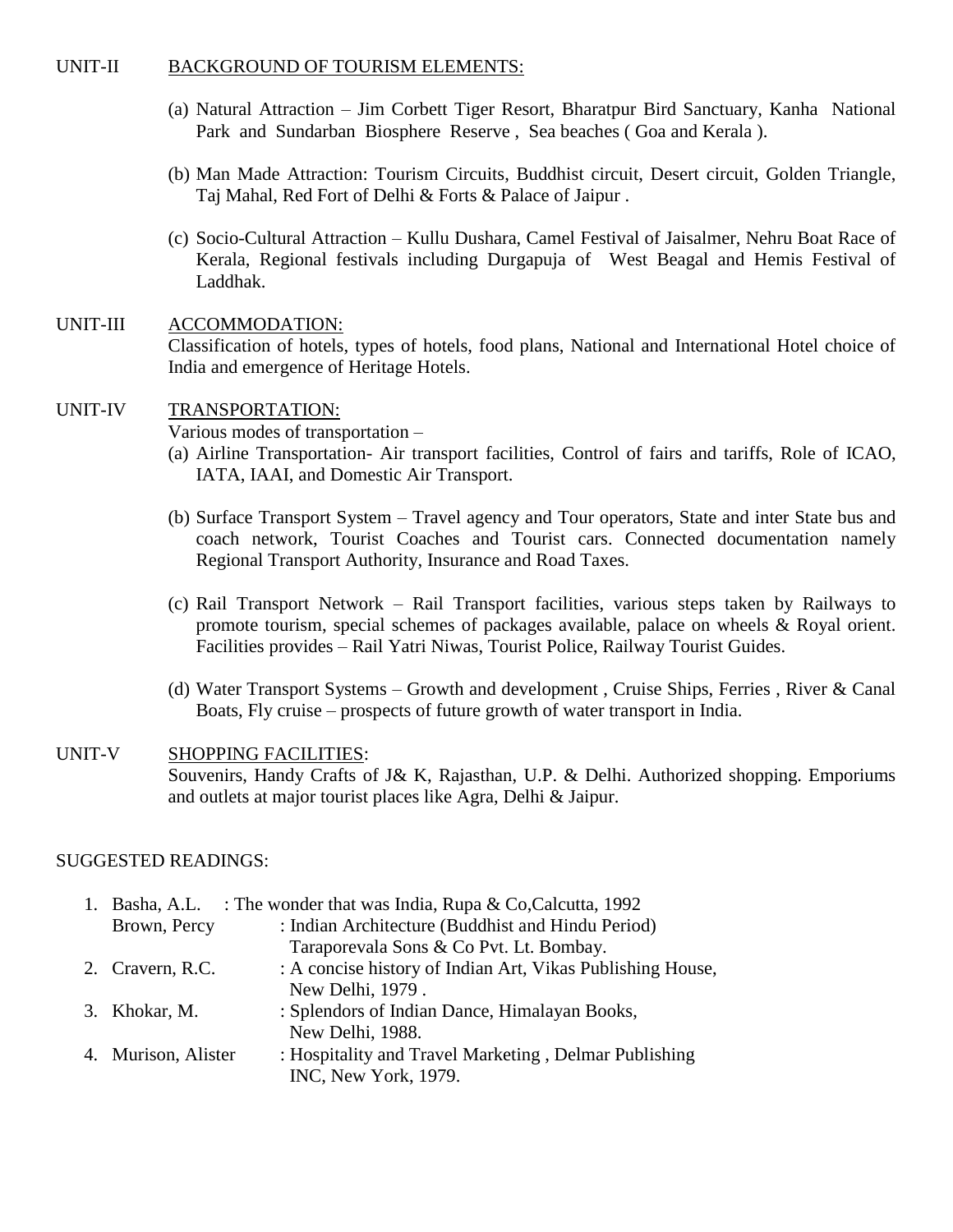#### UNIT-II BACKGROUND OF TOURISM ELEMENTS:

- (a) Natural Attraction Jim Corbett Tiger Resort, Bharatpur Bird Sanctuary, Kanha National Park and Sundarban Biosphere Reserve , Sea beaches ( Goa and Kerala ).
- (b) Man Made Attraction: Tourism Circuits, Buddhist circuit, Desert circuit, Golden Triangle, Taj Mahal, Red Fort of Delhi & Forts & Palace of Jaipur .
- (c) Socio-Cultural Attraction Kullu Dushara, Camel Festival of Jaisalmer, Nehru Boat Race of Kerala, Regional festivals including Durgapuja of West Beagal and Hemis Festival of Laddhak.

# UNIT-III ACCOMMODATION: Classification of hotels, types of hotels, food plans, National and International Hotel choice of India and emergence of Heritage Hotels.

### UNIT-IV TRANSPORTATION:

Various modes of transportation –

- (a) Airline Transportation- Air transport facilities, Control of fairs and tariffs, Role of ICAO, IATA, IAAI, and Domestic Air Transport.
- (b) Surface Transport System Travel agency and Tour operators, State and inter State bus and coach network, Tourist Coaches and Tourist cars. Connected documentation namely Regional Transport Authority, Insurance and Road Taxes.
- (c) Rail Transport Network Rail Transport facilities, various steps taken by Railways to promote tourism, special schemes of packages available, palace on wheels & Royal orient. Facilities provides – Rail Yatri Niwas, Tourist Police, Railway Tourist Guides.
- (d) Water Transport Systems Growth and development , Cruise Ships, Ferries , River & Canal Boats, Fly cruise – prospects of future growth of water transport in India.

#### UNIT-V SHOPPING FACILITIES: Souvenirs, Handy Crafts of J& K, Rajasthan, U.P. & Delhi. Authorized shopping. Emporiums and outlets at major tourist places like Agra, Delhi & Jaipur.

| 1. | Basha, A.L.         | : The wonder that was India, Rupa $& Co, Calcutta, 1992$   |
|----|---------------------|------------------------------------------------------------|
|    | Brown, Percy        | : Indian Architecture (Buddhist and Hindu Period)          |
|    |                     | Taraporevala Sons & Co Pvt. Lt. Bombay.                    |
|    | 2. Cravern, R.C.    | : A concise history of Indian Art, Vikas Publishing House, |
|    |                     | New Delhi, 1979.                                           |
|    | 3. Khokar, M.       | : Splendors of Indian Dance, Himalayan Books,              |
|    |                     | New Delhi, 1988.                                           |
|    | 4. Murison, Alister | : Hospitality and Travel Marketing, Delmar Publishing      |
|    |                     | INC, New York, 1979.                                       |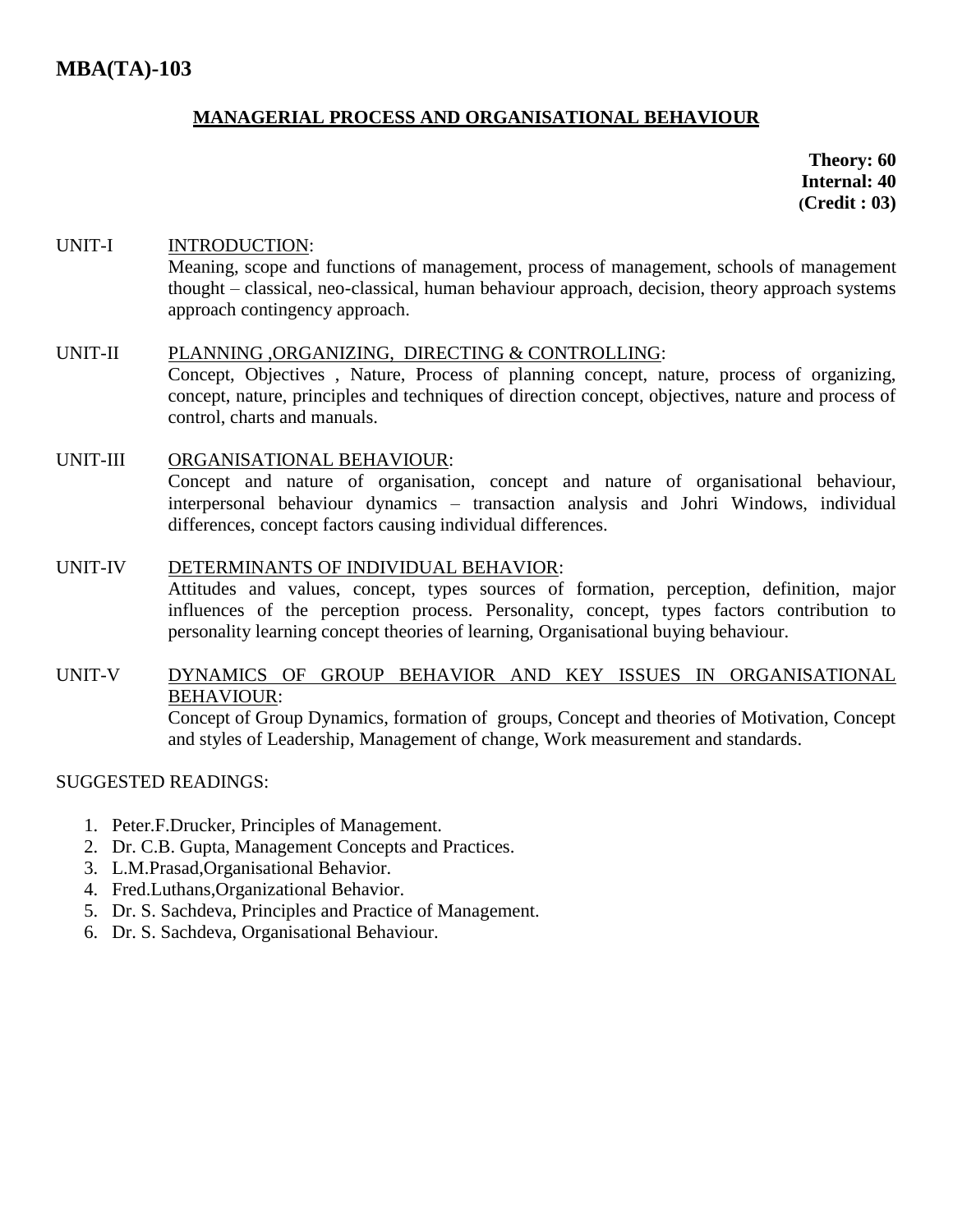# **MANAGERIAL PROCESS AND ORGANISATIONAL BEHAVIOUR**

**Theory: 60 Internal: 40 (Credit : 03)**

# UNIT-I INTRODUCTION: Meaning, scope and functions of management, process of management, schools of management thought – classical, neo-classical, human behaviour approach, decision, theory approach systems approach contingency approach.

#### UNIT-II PLANNING ,ORGANIZING, DIRECTING & CONTROLLING:

Concept, Objectives , Nature, Process of planning concept, nature, process of organizing, concept, nature, principles and techniques of direction concept, objectives, nature and process of control, charts and manuals.

UNIT-III ORGANISATIONAL BEHAVIOUR: Concept and nature of organisation, concept and nature of organisational behaviour, interpersonal behaviour dynamics – transaction analysis and Johri Windows, individual differences, concept factors causing individual differences.

#### UNIT-IV DETERMINANTS OF INDIVIDUAL BEHAVIOR:

Attitudes and values, concept, types sources of formation, perception, definition, major influences of the perception process. Personality, concept, types factors contribution to personality learning concept theories of learning, Organisational buying behaviour.

# UNIT-V DYNAMICS OF GROUP BEHAVIOR AND KEY ISSUES IN ORGANISATIONAL BEHAVIOUR:

Concept of Group Dynamics, formation of groups, Concept and theories of Motivation, Concept and styles of Leadership, Management of change, Work measurement and standards.

- 1. Peter.F.Drucker, Principles of Management.
- 2. Dr. C.B. Gupta, Management Concepts and Practices.
- 3. L.M.Prasad,Organisational Behavior.
- 4. Fred.Luthans,Organizational Behavior.
- 5. Dr. S. Sachdeva, Principles and Practice of Management.
- 6. Dr. S. Sachdeva, Organisational Behaviour.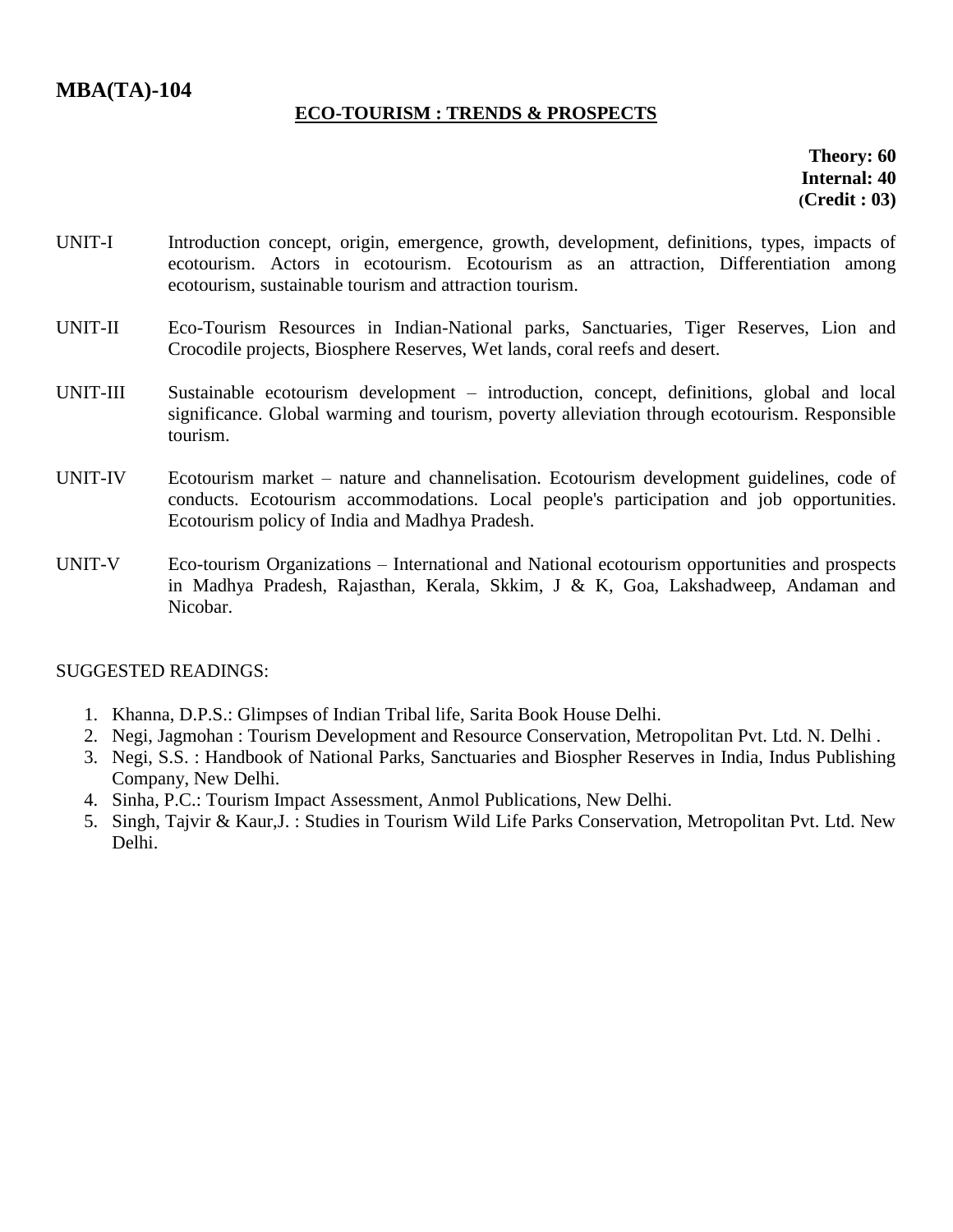# **ECO-TOURISM : TRENDS & PROSPECTS**

**Theory: 60 Internal: 40 (Credit : 03)**

- UNIT-I Introduction concept, origin, emergence, growth, development, definitions, types, impacts of ecotourism. Actors in ecotourism. Ecotourism as an attraction, Differentiation among ecotourism, sustainable tourism and attraction tourism.
- UNIT-II Eco-Tourism Resources in Indian-National parks, Sanctuaries, Tiger Reserves, Lion and Crocodile projects, Biosphere Reserves, Wet lands, coral reefs and desert.
- UNIT-III Sustainable ecotourism development introduction, concept, definitions, global and local significance. Global warming and tourism, poverty alleviation through ecotourism. Responsible tourism.
- UNIT-IV Ecotourism market nature and channelisation. Ecotourism development guidelines, code of conducts. Ecotourism accommodations. Local people's participation and job opportunities. Ecotourism policy of India and Madhya Pradesh.
- UNIT-V Eco-tourism Organizations International and National ecotourism opportunities and prospects in Madhya Pradesh, Rajasthan, Kerala, Skkim, J & K, Goa, Lakshadweep, Andaman and Nicobar.

- 1. Khanna, D.P.S.: Glimpses of Indian Tribal life, Sarita Book House Delhi.
- 2. Negi, Jagmohan : Tourism Development and Resource Conservation, Metropolitan Pvt. Ltd. N. Delhi .
- 3. Negi, S.S. : Handbook of National Parks, Sanctuaries and Biospher Reserves in India, Indus Publishing Company, New Delhi.
- 4. Sinha, P.C.: Tourism Impact Assessment, Anmol Publications, New Delhi.
- 5. Singh, Tajvir & Kaur,J. : Studies in Tourism Wild Life Parks Conservation, Metropolitan Pvt. Ltd. New Delhi.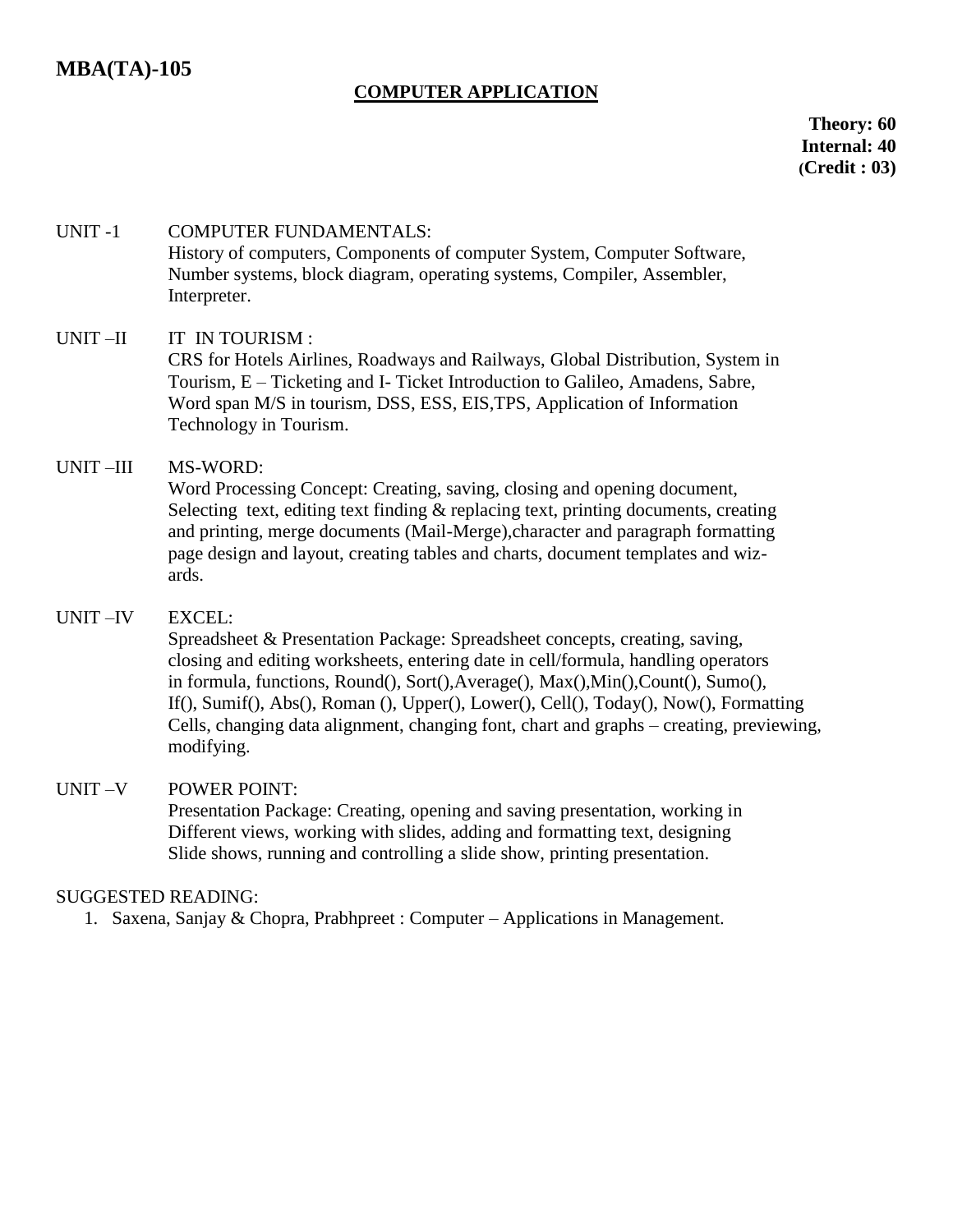# **COMPUTER APPLICATION**

**Theory: 60 Internal: 40 (Credit : 03)**

# UNIT -1 COMPUTER FUNDAMENTALS: History of computers, Components of computer System, Computer Software, Number systems, block diagram, operating systems, Compiler, Assembler, Interpreter.

### UNIT-II IT IN TOURISM :

CRS for Hotels Airlines, Roadways and Railways, Global Distribution, System in Tourism, E – Ticketing and I- Ticket Introduction to Galileo, Amadens, Sabre, Word span M/S in tourism, DSS, ESS, EIS,TPS, Application of Information Technology in Tourism.

# UNIT –III MS-WORD:

Word Processing Concept: Creating, saving, closing and opening document, Selecting text, editing text finding  $\&$  replacing text, printing documents, creating and printing, merge documents (Mail-Merge),character and paragraph formatting page design and layout, creating tables and charts, document templates and wizards.

## UNIT –IV EXCEL:

Spreadsheet & Presentation Package: Spreadsheet concepts, creating, saving, closing and editing worksheets, entering date in cell/formula, handling operators in formula, functions, Round(), Sort(),Average(), Max(),Min(),Count(), Sumo(), If(), Sumif(), Abs(), Roman (), Upper(), Lower(), Cell(), Today(), Now(), Formatting Cells, changing data alignment, changing font, chart and graphs – creating, previewing, modifying.

#### UNIT –V POWER POINT:

Presentation Package: Creating, opening and saving presentation, working in Different views, working with slides, adding and formatting text, designing Slide shows, running and controlling a slide show, printing presentation.

#### SUGGESTED READING:

1. Saxena, Sanjay & Chopra, Prabhpreet : Computer – Applications in Management.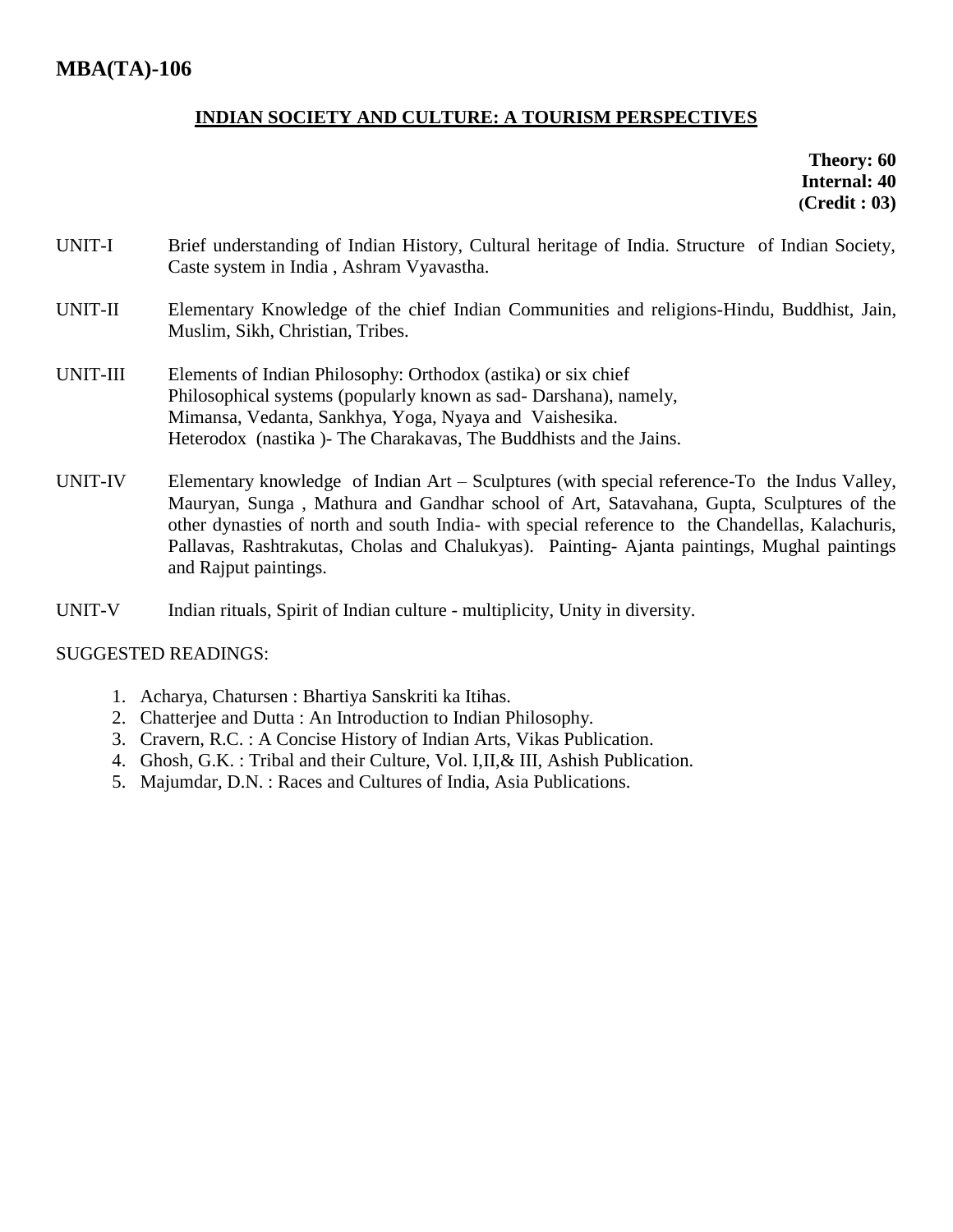# **INDIAN SOCIETY AND CULTURE: A TOURISM PERSPECTIVES**

**Theory: 60 Internal: 40 (Credit : 03)**

- UNIT-I Brief understanding of Indian History, Cultural heritage of India. Structure of Indian Society, Caste system in India , Ashram Vyavastha.
- UNIT-II Elementary Knowledge of the chief Indian Communities and religions-Hindu, Buddhist, Jain, Muslim, Sikh, Christian, Tribes.
- UNIT-III Elements of Indian Philosophy: Orthodox (astika) or six chief Philosophical systems (popularly known as sad- Darshana), namely, Mimansa, Vedanta, Sankhya, Yoga, Nyaya and Vaishesika. Heterodox (nastika )- The Charakavas, The Buddhists and the Jains.
- UNIT-IV Elementary knowledge of Indian Art Sculptures (with special reference-To the Indus Valley, Mauryan, Sunga , Mathura and Gandhar school of Art, Satavahana, Gupta, Sculptures of the other dynasties of north and south India- with special reference to the Chandellas, Kalachuris, Pallavas, Rashtrakutas, Cholas and Chalukyas). Painting- Ajanta paintings, Mughal paintings and Rajput paintings.
- UNIT-V Indian rituals, Spirit of Indian culture multiplicity, Unity in diversity.

- 1. Acharya, Chatursen : Bhartiya Sanskriti ka Itihas.
- 2. Chatterjee and Dutta : An Introduction to Indian Philosophy.
- 3. Cravern, R.C. : A Concise History of Indian Arts, Vikas Publication.
- 4. Ghosh, G.K. : Tribal and their Culture, Vol. I,II,& III, Ashish Publication.
- 5. Majumdar, D.N. : Races and Cultures of India, Asia Publications.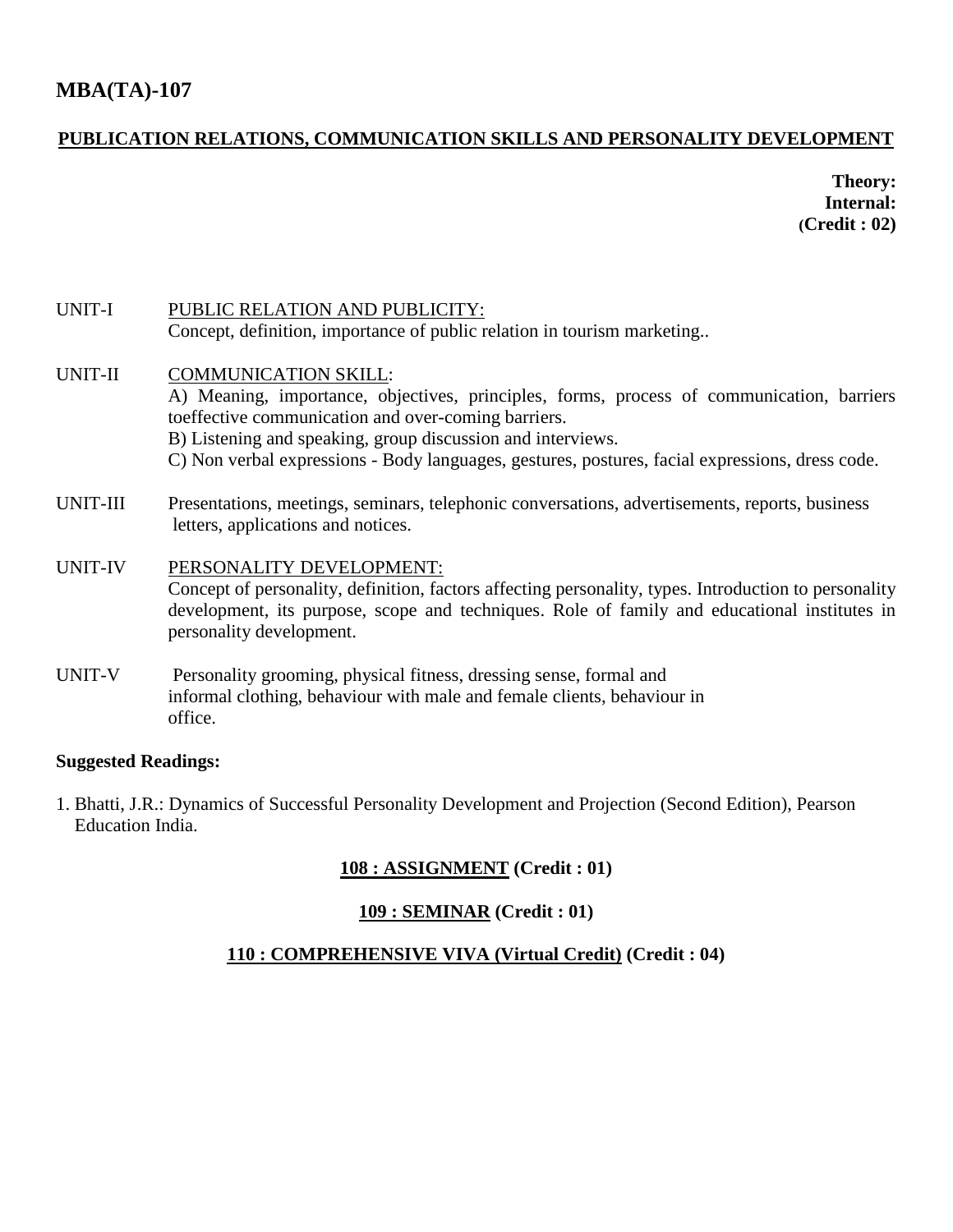# **MBA(TA)-107**

# **PUBLICATION RELATIONS, COMMUNICATION SKILLS AND PERSONALITY DEVELOPMENT**

**Theory: Internal: (Credit : 02)**

| UNIT-I         | PUBLIC RELATION AND PUBLICITY:                                                                                                                                                                                                                                |
|----------------|---------------------------------------------------------------------------------------------------------------------------------------------------------------------------------------------------------------------------------------------------------------|
|                | Concept, definition, importance of public relation in tourism marketing                                                                                                                                                                                       |
| UNIT-II        | <b>COMMUNICATION SKILL:</b>                                                                                                                                                                                                                                   |
|                | A) Meaning, importance, objectives, principles, forms, process of communication, barriers<br>toeffective communication and over-coming barriers.                                                                                                              |
|                | B) Listening and speaking, group discussion and interviews.                                                                                                                                                                                                   |
|                | C) Non verbal expressions - Body languages, gestures, postures, facial expressions, dress code.                                                                                                                                                               |
| UNIT-III       | Presentations, meetings, seminars, telephonic conversations, advertisements, reports, business<br>letters, applications and notices.                                                                                                                          |
| <b>UNIT-IV</b> | PERSONALITY DEVELOPMENT:<br>Concept of personality, definition, factors affecting personality, types. Introduction to personality<br>development, its purpose, scope and techniques. Role of family and educational institutes in<br>personality development. |
| UNIT-V         | Personality grooming, physical fitness, dressing sense, formal and<br>informal clothing, behaviour with male and female clients, behaviour in<br>office.                                                                                                      |

# **Suggested Readings:**

1. Bhatti, J.R.: Dynamics of Successful Personality Development and Projection (Second Edition), Pearson Education India.

# **108 : ASSIGNMENT (Credit : 01)**

# **109 : SEMINAR (Credit : 01)**

# **110 : COMPREHENSIVE VIVA (Virtual Credit) (Credit : 04)**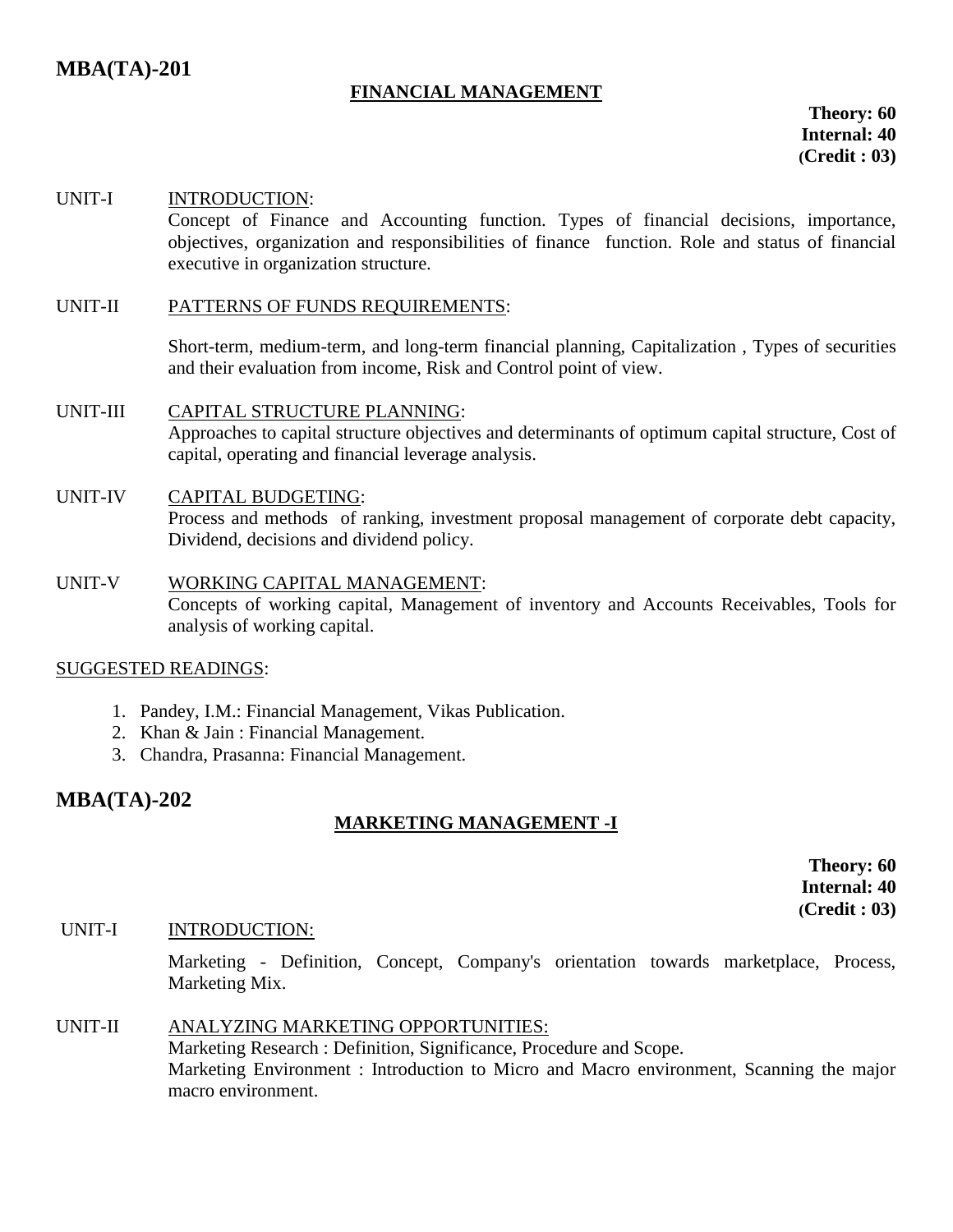# **FINANCIAL MANAGEMENT**

 **Theory: 60 Internal: 40 (Credit : 03)**

#### UNIT-I INTRODUCTION:

Concept of Finance and Accounting function. Types of financial decisions, importance, objectives, organization and responsibilities of finance function. Role and status of financial executive in organization structure.

#### UNIT-II PATTERNS OF FUNDS REQUIREMENTS:

Short-term, medium-term, and long-term financial planning, Capitalization , Types of securities and their evaluation from income, Risk and Control point of view.

UNIT-III CAPITAL STRUCTURE PLANNING: Approaches to capital structure objectives and determinants of optimum capital structure, Cost of capital, operating and financial leverage analysis.

#### UNIT-IV CAPITAL BUDGETING:

Process and methods of ranking, investment proposal management of corporate debt capacity, Dividend, decisions and dividend policy.

## UNIT-V WORKING CAPITAL MANAGEMENT: Concepts of working capital, Management of inventory and Accounts Receivables, Tools for analysis of working capital.

#### SUGGESTED READINGS:

- 1. Pandey, I.M.: Financial Management, Vikas Publication.
- 2. Khan & Jain : Financial Management.
- 3. Chandra, Prasanna: Financial Management.

# **MBA(TA)-202**

# **MARKETING MANAGEMENT -I**

**Theory: 60 Internal: 40 (Credit : 03)**

#### UNIT-I INTRODUCTION:

Marketing - Definition, Concept, Company's orientation towards marketplace, Process, Marketing Mix.

#### UNIT-II ANALYZING MARKETING OPPORTUNITIES: Marketing Research : Definition, Significance, Procedure and Scope. Marketing Environment : Introduction to Micro and Macro environment, Scanning the major macro environment.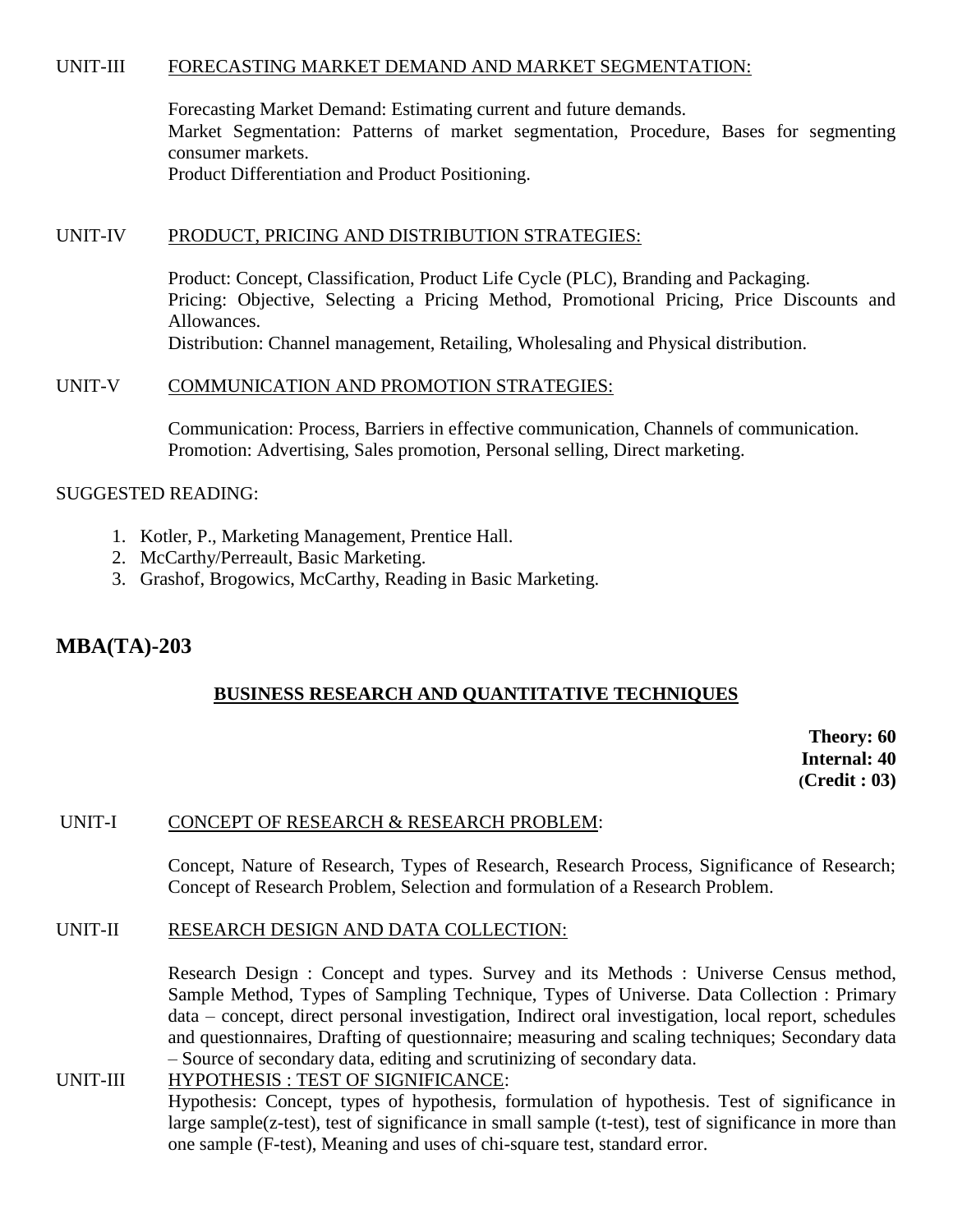#### UNIT-III FORECASTING MARKET DEMAND AND MARKET SEGMENTATION:

Forecasting Market Demand: Estimating current and future demands. Market Segmentation: Patterns of market segmentation, Procedure, Bases for segmenting consumer markets. Product Differentiation and Product Positioning.

#### UNIT-IV PRODUCT, PRICING AND DISTRIBUTION STRATEGIES:

Product: Concept, Classification, Product Life Cycle (PLC), Branding and Packaging. Pricing: Objective, Selecting a Pricing Method, Promotional Pricing, Price Discounts and Allowances.

Distribution: Channel management, Retailing, Wholesaling and Physical distribution.

#### UNIT-V COMMUNICATION AND PROMOTION STRATEGIES:

Communication: Process, Barriers in effective communication, Channels of communication. Promotion: Advertising, Sales promotion, Personal selling, Direct marketing.

#### SUGGESTED READING:

- 1. Kotler, P., Marketing Management, Prentice Hall.
- 2. McCarthy/Perreault, Basic Marketing.
- 3. Grashof, Brogowics, McCarthy, Reading in Basic Marketing.

# **MBA(TA)-203**

#### **BUSINESS RESEARCH AND QUANTITATIVE TECHNIQUES**

**Theory: 60 Internal: 40 (Credit : 03)**

#### UNIT-I CONCEPT OF RESEARCH & RESEARCH PROBLEM:

Concept, Nature of Research, Types of Research, Research Process, Significance of Research; Concept of Research Problem, Selection and formulation of a Research Problem.

#### UNIT-II RESEARCH DESIGN AND DATA COLLECTION:

Research Design : Concept and types. Survey and its Methods : Universe Census method, Sample Method, Types of Sampling Technique, Types of Universe. Data Collection : Primary data – concept, direct personal investigation, Indirect oral investigation, local report, schedules and questionnaires, Drafting of questionnaire; measuring and scaling techniques; Secondary data – Source of secondary data, editing and scrutinizing of secondary data.

# UNIT-III HYPOTHESIS : TEST OF SIGNIFICANCE:

Hypothesis: Concept, types of hypothesis, formulation of hypothesis. Test of significance in large sample(z-test), test of significance in small sample (t-test), test of significance in more than one sample (F-test), Meaning and uses of chi-square test, standard error.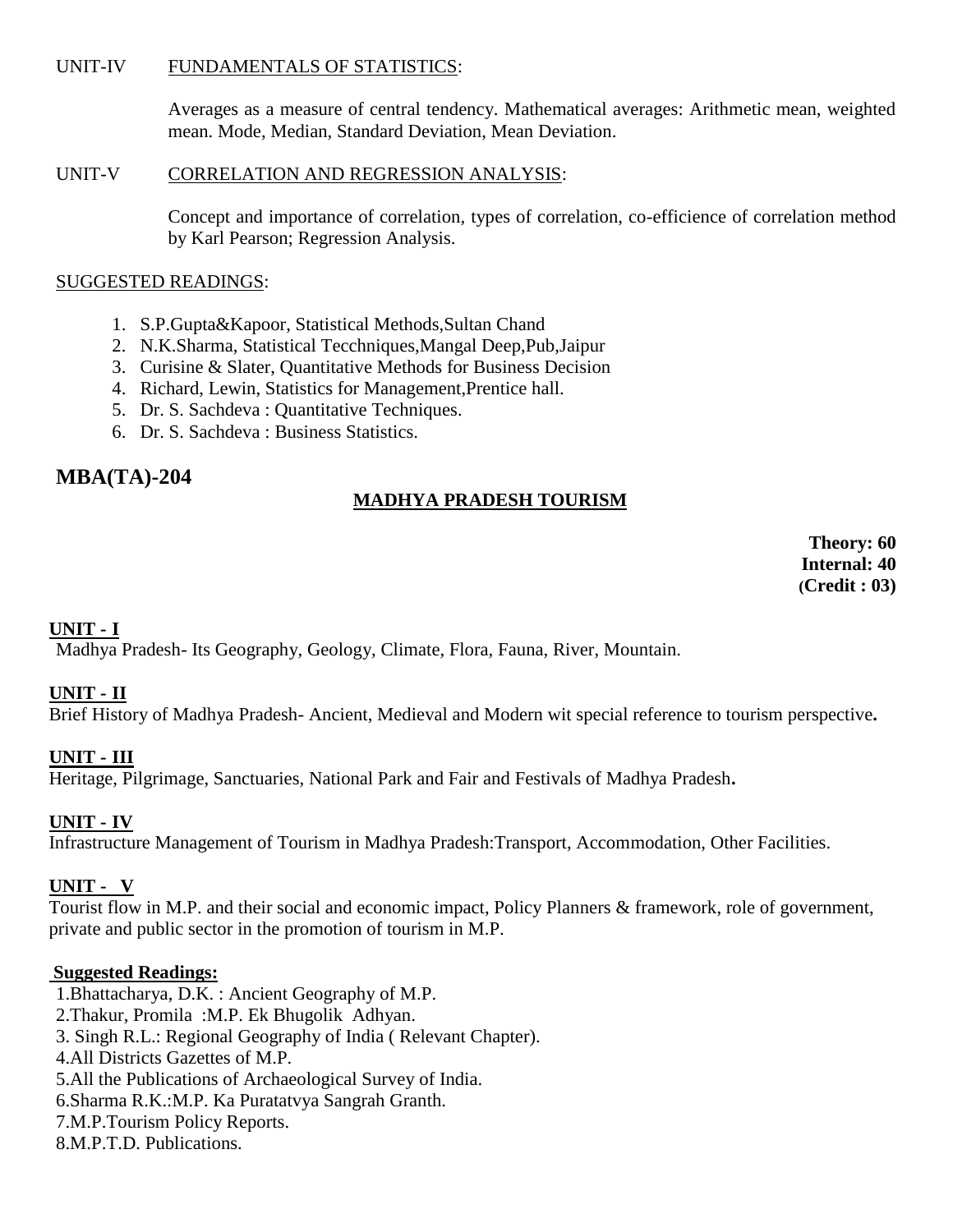#### UNIT-IV FUNDAMENTALS OF STATISTICS:

Averages as a measure of central tendency. Mathematical averages: Arithmetic mean, weighted mean. Mode, Median, Standard Deviation, Mean Deviation.

#### UNIT-V CORRELATION AND REGRESSION ANALYSIS:

Concept and importance of correlation, types of correlation, co-efficience of correlation method by Karl Pearson; Regression Analysis.

### SUGGESTED READINGS:

- 1. S.P.Gupta&Kapoor, Statistical Methods,Sultan Chand
- 2. N.K.Sharma, Statistical Tecchniques,Mangal Deep,Pub,Jaipur
- 3. Curisine & Slater, Quantitative Methods for Business Decision
- 4. Richard, Lewin, Statistics for Management,Prentice hall.
- 5. Dr. S. Sachdeva : Quantitative Techniques.
- 6. Dr. S. Sachdeva : Business Statistics.

# **MBA(TA)-204**

# **MADHYA PRADESH TOURISM**

**Theory: 60 Internal: 40 (Credit : 03)**

# **UNIT - I**

Madhya Pradesh- Its Geography, Geology, Climate, Flora, Fauna, River, Mountain.

# **UNIT - II**

Brief History of Madhya Pradesh- Ancient, Medieval and Modern wit special reference to tourism perspective**.**

# **UNIT - III**

Heritage, Pilgrimage, Sanctuaries, National Park and Fair and Festivals of Madhya Pradesh**.**

# **UNIT - IV**

Infrastructure Management of Tourism in Madhya Pradesh:Transport, Accommodation, Other Facilities.

# **UNIT - V**

Tourist flow in M.P. and their social and economic impact, Policy Planners & framework, role of government, private and public sector in the promotion of tourism in M.P.

# **Suggested Readings:**

1.Bhattacharya, D.K. : Ancient Geography of M.P. 2.Thakur, Promila :M.P. Ek Bhugolik Adhyan. 3. Singh R.L.: Regional Geography of India ( Relevant Chapter). 4.All Districts Gazettes of M.P. 5.All the Publications of Archaeological Survey of India. 6.Sharma R.K.:M.P. Ka Puratatvya Sangrah Granth. 7.M.P.Tourism Policy Reports.

8.M.P.T.D. Publications.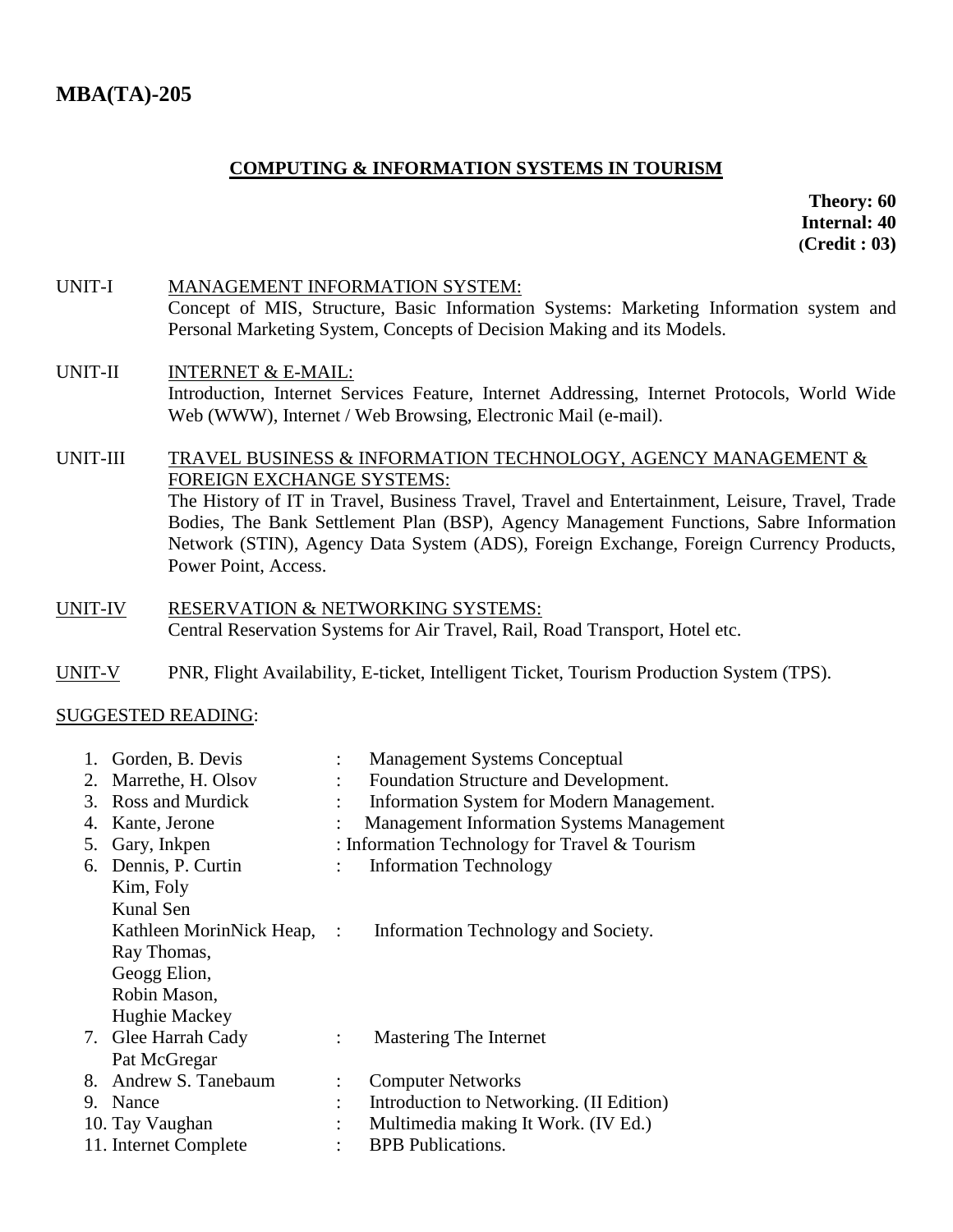# **COMPUTING & INFORMATION SYSTEMS IN TOURISM**

 **Theory: 60 Internal: 40 (Credit : 03)**

UNIT-I MANAGEMENT INFORMATION SYSTEM: Concept of MIS, Structure, Basic Information Systems: Marketing Information system and Personal Marketing System, Concepts of Decision Making and its Models.

### UNIT-II INTERNET & E-MAIL: Introduction, Internet Services Feature, Internet Addressing, Internet Protocols, World Wide Web (WWW), Internet / Web Browsing, Electronic Mail (e-mail).

#### UNIT-III TRAVEL BUSINESS & INFORMATION TECHNOLOGY, AGENCY MANAGEMENT & FOREIGN EXCHANGE SYSTEMS: The History of IT in Travel, Business Travel, Travel and Entertainment, Leisure, Travel, Trade Bodies, The Bank Settlement Plan (BSP), Agency Management Functions, Sabre Information Network (STIN), Agency Data System (ADS), Foreign Exchange, Foreign Currency Products, Power Point, Access.

- UNIT-IV RESERVATION & NETWORKING SYSTEMS: Central Reservation Systems for Air Travel, Rail, Road Transport, Hotel etc.
- UNIT-V PNR, Flight Availability, E-ticket, Intelligent Ticket, Tourism Production System (TPS).

|  | 1. Gorden, B. Devis   | $\ddot{\cdot}$       | <b>Management Systems Conceptual</b>                           |
|--|-----------------------|----------------------|----------------------------------------------------------------|
|  | 2. Marrethe, H. Olsov | $\ddot{\phantom{a}}$ | Foundation Structure and Development.                          |
|  | 3. Ross and Murdick   |                      | Information System for Modern Management.                      |
|  | 4. Kante, Jerone      |                      | <b>Management Information Systems Management</b>               |
|  | 5. Gary, Inkpen       |                      | : Information Technology for Travel $&$ Tourism                |
|  | 6. Dennis, P. Curtin  | $\ddot{\cdot}$       | <b>Information Technology</b>                                  |
|  | Kim, Foly             |                      |                                                                |
|  | Kunal Sen             |                      |                                                                |
|  |                       |                      | Kathleen MorinNick Heap, : Information Technology and Society. |
|  | Ray Thomas,           |                      |                                                                |
|  | Geogg Elion,          |                      |                                                                |
|  | Robin Mason,          |                      |                                                                |
|  | Hughie Mackey         |                      |                                                                |
|  | 7. Glee Harrah Cady   | $\ddot{\cdot}$       | Mastering The Internet                                         |
|  | Pat McGregar          |                      |                                                                |
|  | 8. Andrew S. Tanebaum | $\ddot{\cdot}$       | <b>Computer Networks</b>                                       |
|  | 9. Nance              | $\ddot{\cdot}$       | Introduction to Networking. (II Edition)                       |
|  | 10. Tay Vaughan       | $\ddot{\cdot}$       | Multimedia making It Work. (IV Ed.)                            |
|  | 11. Internet Complete |                      | <b>BPB</b> Publications.                                       |
|  |                       |                      |                                                                |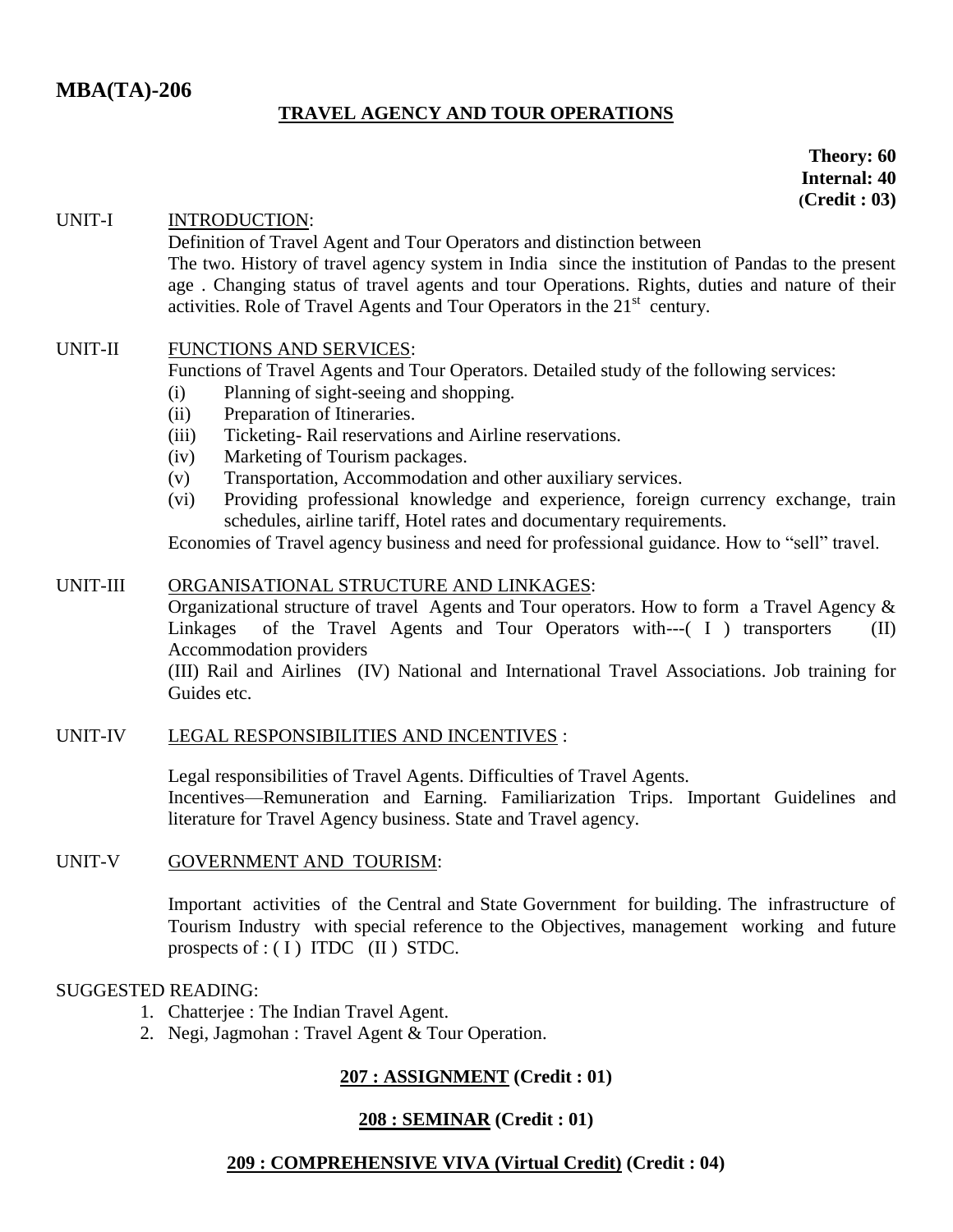# **TRAVEL AGENCY AND TOUR OPERATIONS**

**Theory: 60 Internal: 40 (Credit : 03)**

#### UNIT-I INTRODUCTION:

Definition of Travel Agent and Tour Operators and distinction between The two. History of travel agency system in India since the institution of Pandas to the present age . Changing status of travel agents and tour Operations. Rights, duties and nature of their activities. Role of Travel Agents and Tour Operators in the 21<sup>st</sup> century.

#### UNIT-II FUNCTIONS AND SERVICES:

Functions of Travel Agents and Tour Operators. Detailed study of the following services:

- (i) Planning of sight-seeing and shopping.
- (ii) Preparation of Itineraries.
- (iii) Ticketing- Rail reservations and Airline reservations.
- (iv) Marketing of Tourism packages.
- (v) Transportation, Accommodation and other auxiliary services.
- (vi) Providing professional knowledge and experience, foreign currency exchange, train schedules, airline tariff, Hotel rates and documentary requirements.

Economies of Travel agency business and need for professional guidance. How to "sell" travel.

#### UNIT-III ORGANISATIONAL STRUCTURE AND LINKAGES:

Organizational structure of travel Agents and Tour operators. How to form a Travel Agency & Linkages of the Travel Agents and Tour Operators with---( I ) transporters (II) Accommodation providers

(III) Rail and Airlines (IV) National and International Travel Associations. Job training for Guides etc.

#### UNIT-IV LEGAL RESPONSIBILITIES AND INCENTIVES :

Legal responsibilities of Travel Agents. Difficulties of Travel Agents. Incentives—Remuneration and Earning. Familiarization Trips. Important Guidelines and literature for Travel Agency business. State and Travel agency.

#### UNIT-V GOVERNMENT AND TOURISM:

Important activities of the Central and State Government for building. The infrastructure of Tourism Industry with special reference to the Objectives, management working and future prospects of  $:(I)$  ITDC (II) STDC.

#### SUGGESTED READING:

- 1. Chatterjee : The Indian Travel Agent.
- 2. Negi, Jagmohan : Travel Agent & Tour Operation.

#### **207 : ASSIGNMENT (Credit : 01)**

#### **208 : SEMINAR (Credit : 01)**

#### **209 : COMPREHENSIVE VIVA (Virtual Credit) (Credit : 04)**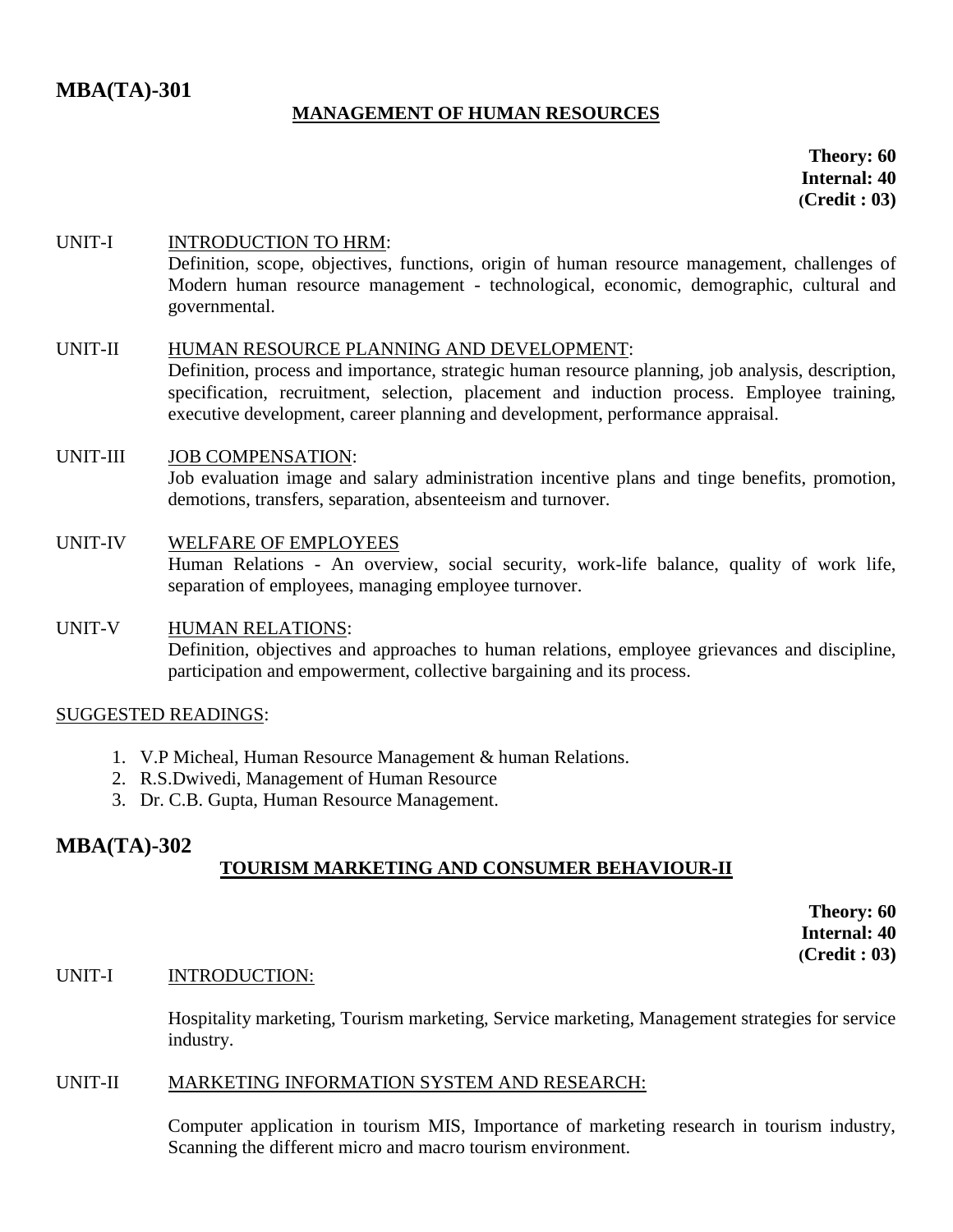# **MBA(TA)-301**

# **MANAGEMENT OF HUMAN RESOURCES**

**Theory: 60 Internal: 40 (Credit : 03)**

#### UNIT-I INTRODUCTION TO HRM: Definition, scope, objectives, functions, origin of human resource management, challenges of Modern human resource management - technological, economic, demographic, cultural and governmental.

#### UNIT-II HUMAN RESOURCE PLANNING AND DEVELOPMENT:

Definition, process and importance, strategic human resource planning, job analysis, description, specification, recruitment, selection, placement and induction process. Employee training, executive development, career planning and development, performance appraisal.

# UNIT-III JOB COMPENSATION: Job evaluation image and salary administration incentive plans and tinge benefits, promotion, demotions, transfers, separation, absenteeism and turnover.

#### UNIT-IV WELFARE OF EMPLOYEES Human Relations - An overview, social security, work-life balance, quality of work life, separation of employees, managing employee turnover.

# UNIT-V HUMAN RELATIONS:

Definition, objectives and approaches to human relations, employee grievances and discipline, participation and empowerment, collective bargaining and its process.

#### SUGGESTED READINGS:

- 1. V.P Micheal, Human Resource Management & human Relations.
- 2. R.S.Dwivedi, Management of Human Resource
- 3. Dr. C.B. Gupta, Human Resource Management.

# **MBA(TA)-302**

# **TOURISM MARKETING AND CONSUMER BEHAVIOUR-II**

**Theory: 60 Internal: 40 (Credit : 03)**

#### UNIT-I INTRODUCTION:

Hospitality marketing, Tourism marketing, Service marketing, Management strategies for service industry.

#### UNIT-II MARKETING INFORMATION SYSTEM AND RESEARCH:

Computer application in tourism MIS, Importance of marketing research in tourism industry, Scanning the different micro and macro tourism environment.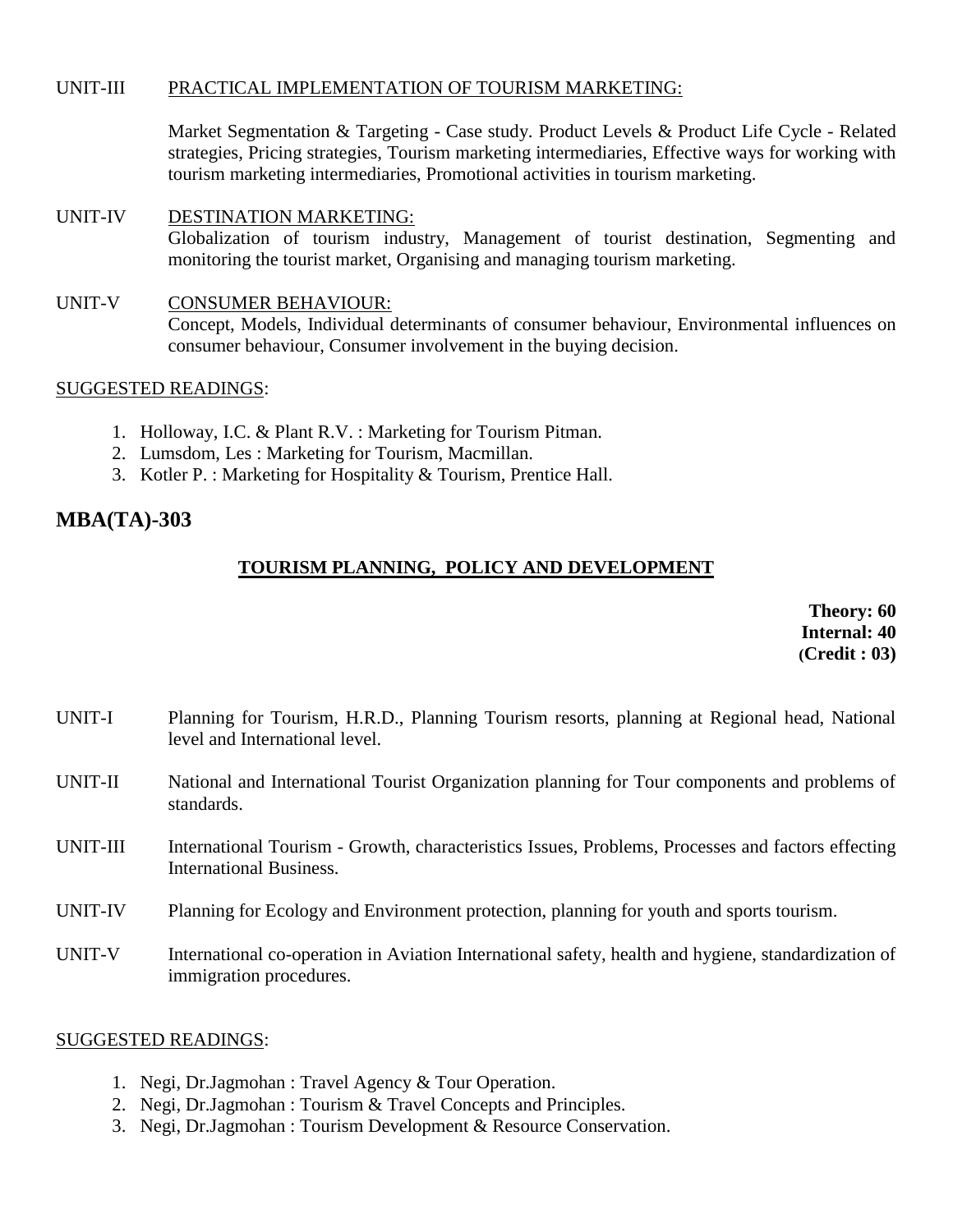#### UNIT-III PRACTICAL IMPLEMENTATION OF TOURISM MARKETING:

Market Segmentation & Targeting - Case study. Product Levels & Product Life Cycle - Related strategies, Pricing strategies, Tourism marketing intermediaries, Effective ways for working with tourism marketing intermediaries, Promotional activities in tourism marketing.

# UNIT-IV DESTINATION MARKETING: Globalization of tourism industry, Management of tourist destination, Segmenting and monitoring the tourist market, Organising and managing tourism marketing.

UNIT-V CONSUMER BEHAVIOUR: Concept, Models, Individual determinants of consumer behaviour, Environmental influences on consumer behaviour, Consumer involvement in the buying decision.

#### SUGGESTED READINGS:

- 1. Holloway, I.C. & Plant R.V. : Marketing for Tourism Pitman.
- 2. Lumsdom, Les : Marketing for Tourism, Macmillan.
- 3. Kotler P. : Marketing for Hospitality & Tourism, Prentice Hall.

# **MBA(TA)-303**

# **TOURISM PLANNING, POLICY AND DEVELOPMENT**

**Theory: 60 Internal: 40 (Credit : 03)**

- UNIT-I Planning for Tourism, H.R.D., Planning Tourism resorts, planning at Regional head, National level and International level.
- UNIT-II National and International Tourist Organization planning for Tour components and problems of standards.
- UNIT-III International Tourism Growth, characteristics Issues, Problems, Processes and factors effecting International Business.
- UNIT-IV Planning for Ecology and Environment protection, planning for youth and sports tourism.
- UNIT-V International co-operation in Aviation International safety, health and hygiene, standardization of immigration procedures.

- 1. Negi, Dr.Jagmohan : Travel Agency & Tour Operation.
- 2. Negi, Dr.Jagmohan : Tourism & Travel Concepts and Principles.
- 3. Negi, Dr.Jagmohan : Tourism Development & Resource Conservation.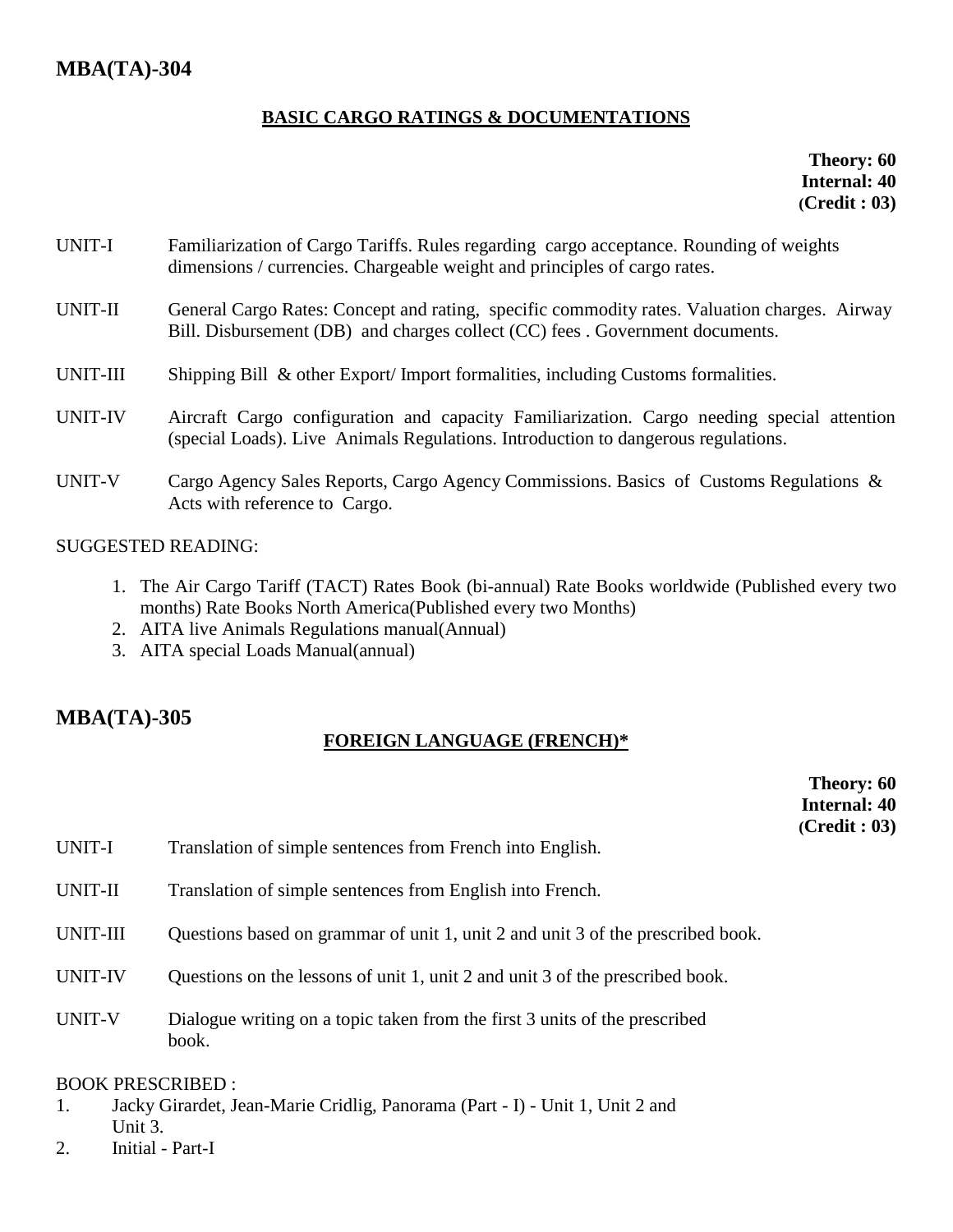# **BASIC CARGO RATINGS & DOCUMENTATIONS**

**Theory: 60 Internal: 40 (Credit : 03)**

- UNIT-I Familiarization of Cargo Tariffs. Rules regarding cargo acceptance. Rounding of weights dimensions / currencies. Chargeable weight and principles of cargo rates.
- UNIT-II General Cargo Rates: Concept and rating, specific commodity rates. Valuation charges. Airway Bill. Disbursement (DB) and charges collect (CC) fees . Government documents.
- UNIT-III Shipping Bill & other Export/Import formalities, including Customs formalities.
- UNIT-IV Aircraft Cargo configuration and capacity Familiarization. Cargo needing special attention (special Loads). Live Animals Regulations. Introduction to dangerous regulations.
- UNIT-V Cargo Agency Sales Reports, Cargo Agency Commissions. Basics of Customs Regulations & Acts with reference to Cargo.

# SUGGESTED READING:

- 1. The Air Cargo Tariff (TACT) Rates Book (bi-annual) Rate Books worldwide (Published every two months) Rate Books North America(Published every two Months)
- 2. AITA live Animals Regulations manual(Annual)
- 3. AITA special Loads Manual(annual)

# **MBA(TA)-305**

# **FOREIGN LANGUAGE (FRENCH)\***

**Theory: 60 Internal: 40 (Credit : 03)**

- UNIT-I Translation of simple sentences from French into English.
- UNIT-II Translation of simple sentences from English into French.
- UNIT-III Ouestions based on grammar of unit 1, unit 2 and unit 3 of the prescribed book.
- UNIT-IV Questions on the lessons of unit 1, unit 2 and unit 3 of the prescribed book.
- UNIT-V Dialogue writing on a topic taken from the first 3 units of the prescribed book.

# BOOK PRESCRIBED :

- 1. Jacky Girardet, Jean-Marie Cridlig, Panorama (Part I) Unit 1, Unit 2 and Unit 3.
- 2. Initial Part-I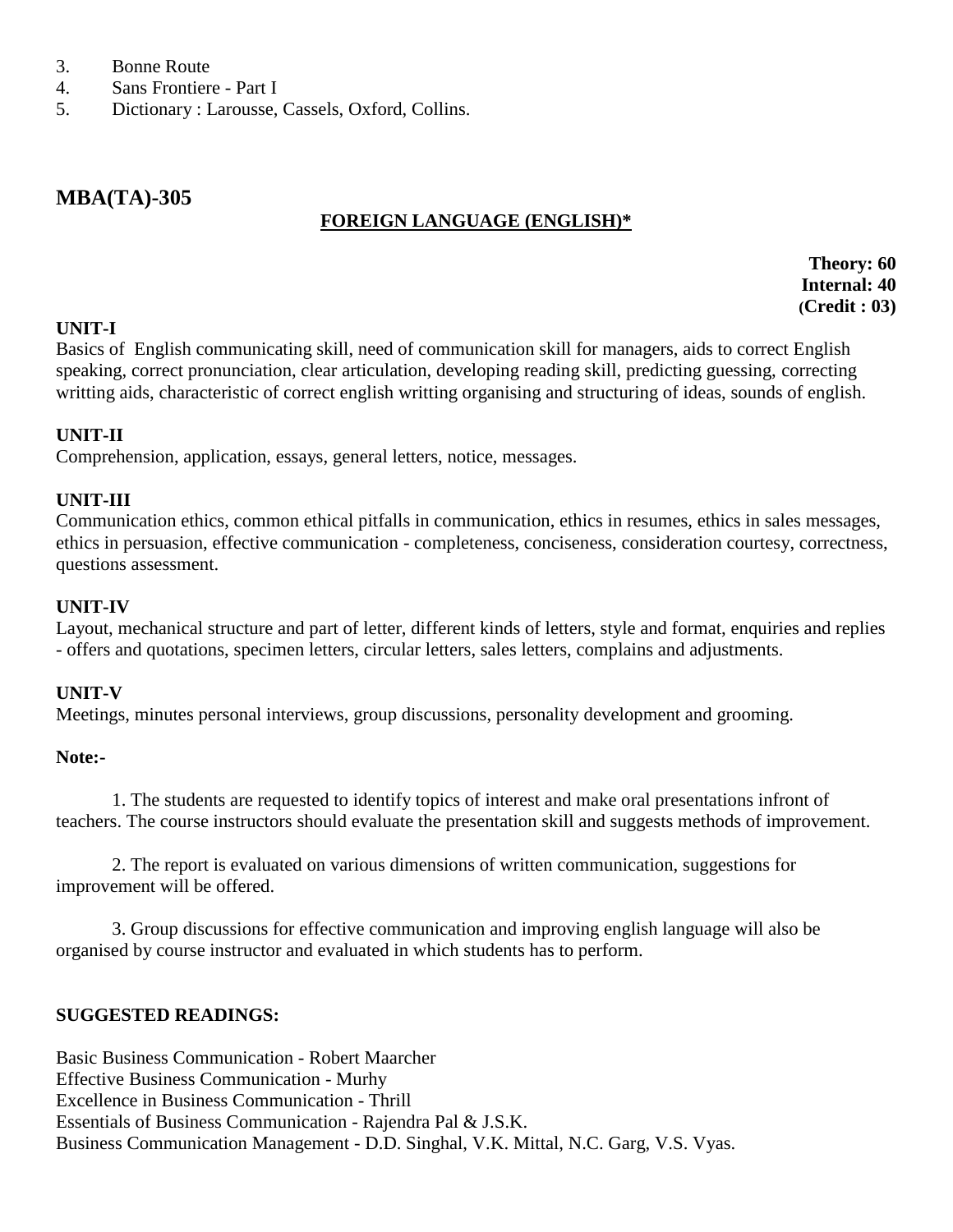- 3. Bonne Route
- 4. Sans Frontiere Part I
- 5. Dictionary : Larousse, Cassels, Oxford, Collins.

# **MBA(TA)-305**

## **FOREIGN LANGUAGE (ENGLISH)\***

**Theory: 60 Internal: 40 (Credit : 03)**

#### **UNIT-I**

Basics of English communicating skill, need of communication skill for managers, aids to correct English speaking, correct pronunciation, clear articulation, developing reading skill, predicting guessing, correcting writting aids, characteristic of correct english writting organising and structuring of ideas, sounds of english.

#### **UNIT-II**

Comprehension, application, essays, general letters, notice, messages.

#### **UNIT-III**

Communication ethics, common ethical pitfalls in communication, ethics in resumes, ethics in sales messages, ethics in persuasion, effective communication - completeness, conciseness, consideration courtesy, correctness, questions assessment.

#### **UNIT-IV**

Layout, mechanical structure and part of letter, different kinds of letters, style and format, enquiries and replies - offers and quotations, specimen letters, circular letters, sales letters, complains and adjustments.

#### **UNIT-V**

Meetings, minutes personal interviews, group discussions, personality development and grooming.

#### **Note:-**

1. The students are requested to identify topics of interest and make oral presentations infront of teachers. The course instructors should evaluate the presentation skill and suggests methods of improvement.

2. The report is evaluated on various dimensions of written communication, suggestions for improvement will be offered.

3. Group discussions for effective communication and improving english language will also be organised by course instructor and evaluated in which students has to perform.

#### **SUGGESTED READINGS:**

Basic Business Communication - Robert Maarcher Effective Business Communication - Murhy Excellence in Business Communication - Thrill Essentials of Business Communication - Rajendra Pal & J.S.K. Business Communication Management - D.D. Singhal, V.K. Mittal, N.C. Garg, V.S. Vyas.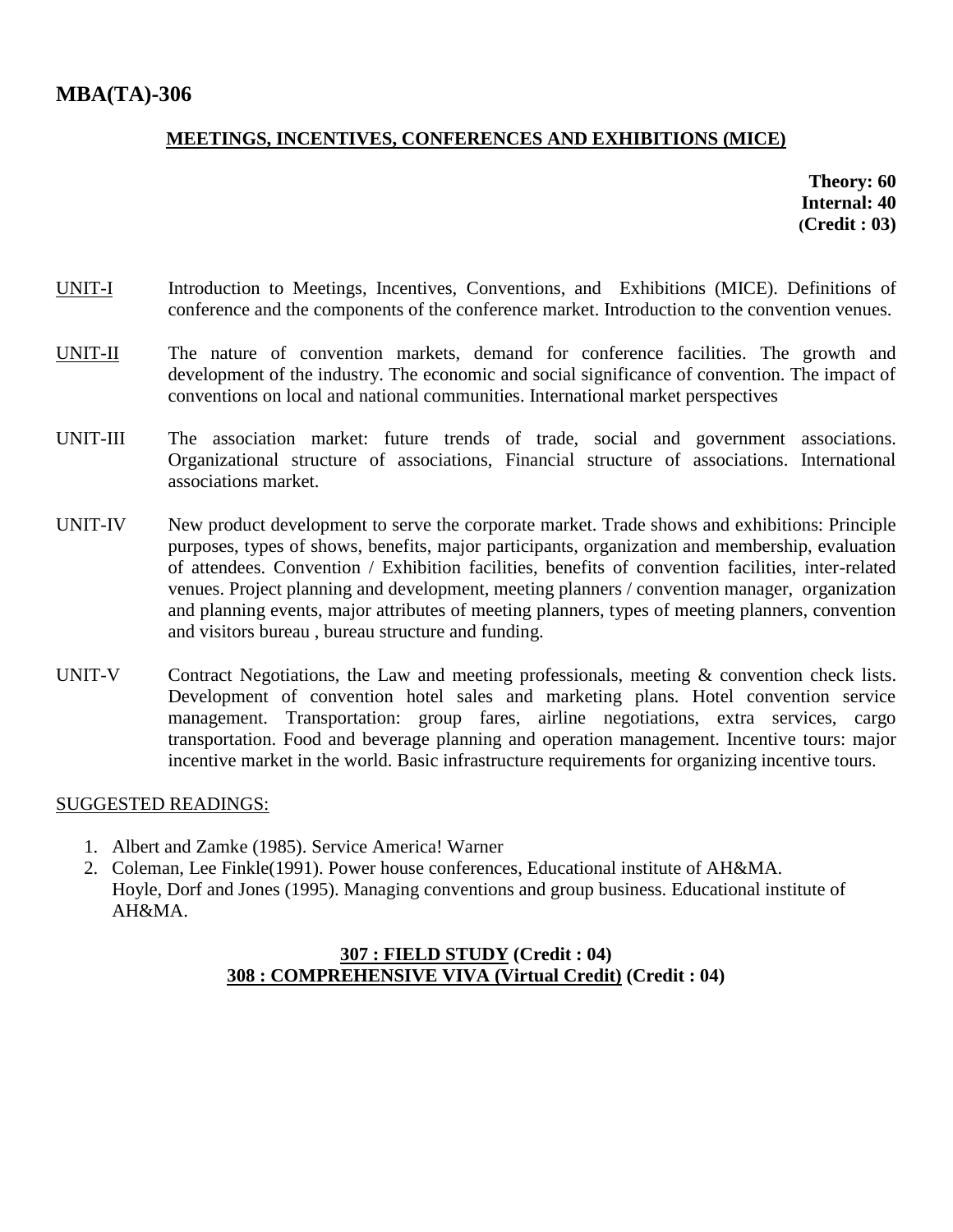# **MEETINGS, INCENTIVES, CONFERENCES AND EXHIBITIONS (MICE)**

**Theory: 60 Internal: 40 (Credit : 03)**

- UNIT-I Introduction to Meetings, Incentives, Conventions, and Exhibitions (MICE). Definitions of conference and the components of the conference market. Introduction to the convention venues.
- UNIT-II The nature of convention markets, demand for conference facilities. The growth and development of the industry. The economic and social significance of convention. The impact of conventions on local and national communities. International market perspectives
- UNIT-III The association market: future trends of trade, social and government associations. Organizational structure of associations, Financial structure of associations. International associations market.
- UNIT-IV New product development to serve the corporate market. Trade shows and exhibitions: Principle purposes, types of shows, benefits, major participants, organization and membership, evaluation of attendees. Convention / Exhibition facilities, benefits of convention facilities, inter-related venues. Project planning and development, meeting planners / convention manager, organization and planning events, major attributes of meeting planners, types of meeting planners, convention and visitors bureau , bureau structure and funding.
- UNIT-V Contract Negotiations, the Law and meeting professionals, meeting & convention check lists. Development of convention hotel sales and marketing plans. Hotel convention service management. Transportation: group fares, airline negotiations, extra services, cargo transportation. Food and beverage planning and operation management. Incentive tours: major incentive market in the world. Basic infrastructure requirements for organizing incentive tours.

#### SUGGESTED READINGS:

- 1. Albert and Zamke (1985). Service America! Warner
- 2. Coleman, Lee Finkle(1991). Power house conferences, Educational institute of AH&MA. Hoyle, Dorf and Jones (1995). Managing conventions and group business. Educational institute of AH&MA.

# **307 : FIELD STUDY (Credit : 04) 308 : COMPREHENSIVE VIVA (Virtual Credit) (Credit : 04)**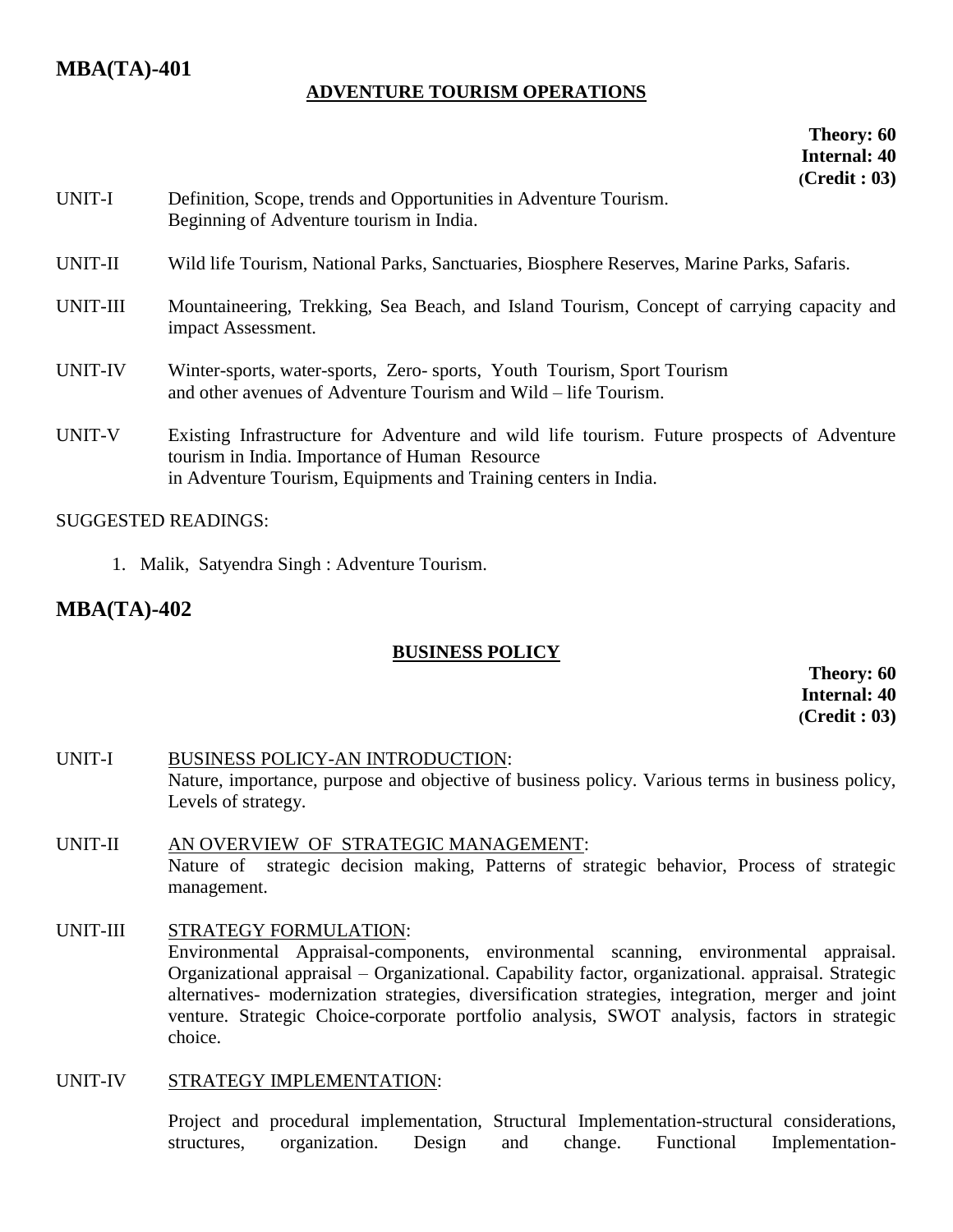# **MBA(TA)-401**

#### **ADVENTURE TOURISM OPERATIONS**

**Theory: 60 Internal: 40 (Credit : 03)**

| UNIT-I         | Definition, Scope, trends and Opportunities in Adventure Tourism.<br>Beginning of Adventure tourism in India.                                                                                                   |
|----------------|-----------------------------------------------------------------------------------------------------------------------------------------------------------------------------------------------------------------|
| UNIT-II        | Wild life Tourism, National Parks, Sanctuaries, Biosphere Reserves, Marine Parks, Safaris.                                                                                                                      |
| UNIT-III       | Mountaineering, Trekking, Sea Beach, and Island Tourism, Concept of carrying capacity and<br>impact Assessment.                                                                                                 |
| <b>UNIT-IV</b> | Winter-sports, water-sports, Zero-sports, Youth Tourism, Sport Tourism<br>and other avenues of Adventure Tourism and Wild – life Tourism.                                                                       |
| UNIT-V         | Existing Infrastructure for Adventure and wild life tourism. Future prospects of Adventure<br>tourism in India. Importance of Human Resource<br>in Adventure Tourism, Equipments and Training centers in India. |

#### SUGGESTED READINGS:

1. Malik, Satyendra Singh : Adventure Tourism.

# **MBA(TA)-402**

# **BUSINESS POLICY**

**Theory: 60 Internal: 40 (Credit : 03)**

- UNIT-I BUSINESS POLICY-AN INTRODUCTION: Nature, importance, purpose and objective of business policy. Various terms in business policy, Levels of strategy.
- UNIT-II AN OVERVIEW OF STRATEGIC MANAGEMENT: Nature of strategic decision making, Patterns of strategic behavior, Process of strategic management.

#### UNIT-III STRATEGY FORMULATION:

Environmental Appraisal-components, environmental scanning, environmental appraisal. Organizational appraisal – Organizational. Capability factor, organizational. appraisal. Strategic alternatives- modernization strategies, diversification strategies, integration, merger and joint venture. Strategic Choice-corporate portfolio analysis, SWOT analysis, factors in strategic choice.

#### UNIT-IV STRATEGY IMPLEMENTATION:

Project and procedural implementation, Structural Implementation-structural considerations, structures, organization. Design and change. Functional Implementation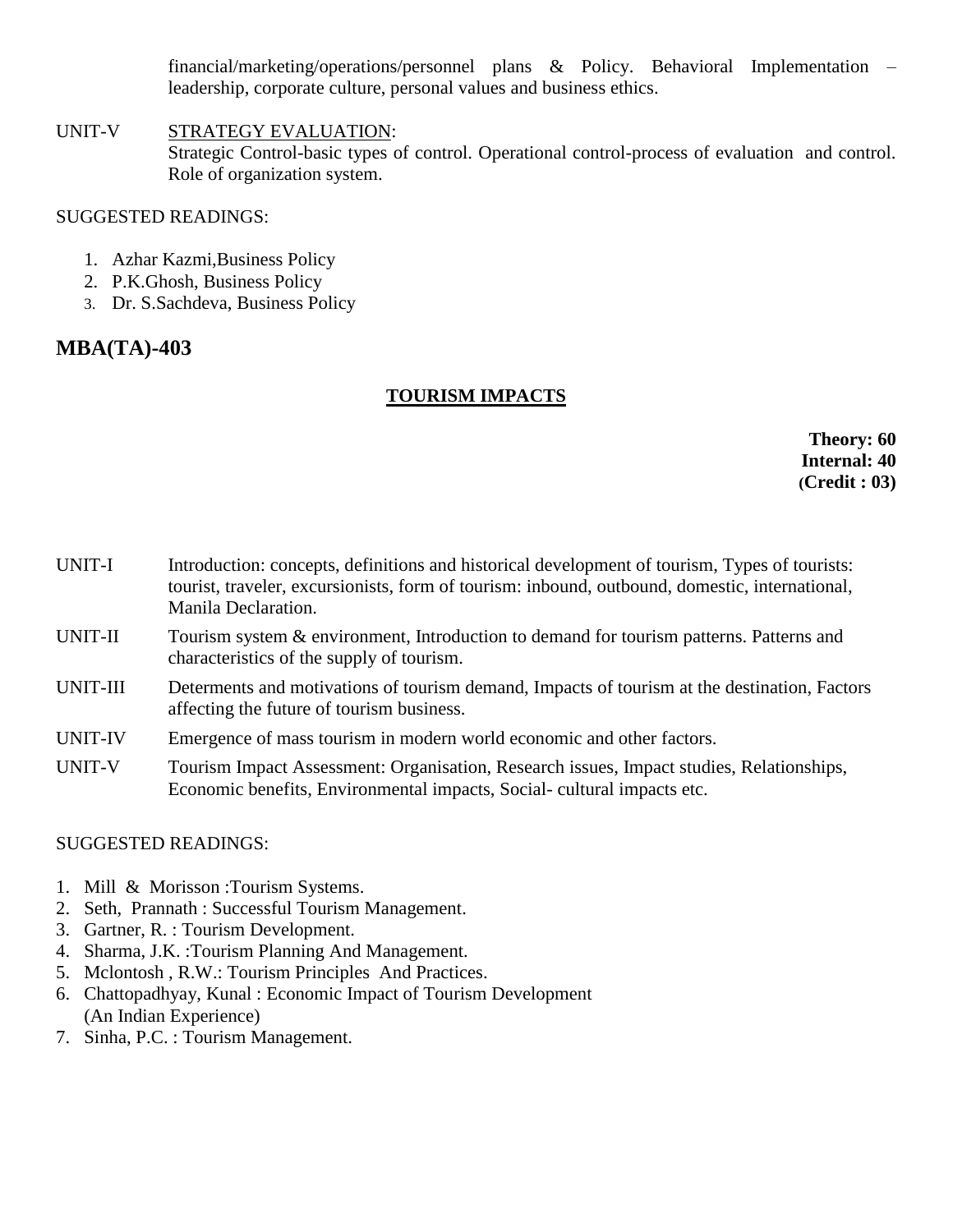financial/marketing/operations/personnel plans & Policy. Behavioral Implementation – leadership, corporate culture, personal values and business ethics.

UNIT-V STRATEGY EVALUATION: Strategic Control-basic types of control. Operational control-process of evaluation and control. Role of organization system.

### SUGGESTED READINGS:

- 1. Azhar Kazmi,Business Policy
- 2. P.K.Ghosh, Business Policy
- 3. Dr. S.Sachdeva, Business Policy

# **MBA(TA)-403**

# **TOURISM IMPACTS**

**Theory: 60 Internal: 40 (Credit : 03)**

- UNIT-I Introduction: concepts, definitions and historical development of tourism, Types of tourists: tourist, traveler, excursionists, form of tourism: inbound, outbound, domestic, international, Manila Declaration.
- UNIT-II Tourism system & environment, Introduction to demand for tourism patterns. Patterns and characteristics of the supply of tourism.
- UNIT-III Determents and motivations of tourism demand, Impacts of tourism at the destination, Factors affecting the future of tourism business.
- UNIT-IV Emergence of mass tourism in modern world economic and other factors.
- UNIT-V Tourism Impact Assessment: Organisation, Research issues, Impact studies, Relationships, Economic benefits, Environmental impacts, Social- cultural impacts etc.

- 1. Mill & Morisson :Tourism Systems.
- 2. Seth, Prannath : Successful Tourism Management.
- 3. Gartner, R. : Tourism Development.
- 4. Sharma, J.K. :Tourism Planning And Management.
- 5. Mclontosh , R.W.: Tourism Principles And Practices.
- 6. Chattopadhyay, Kunal : Economic Impact of Tourism Development (An Indian Experience)
- 7. Sinha, P.C. : Tourism Management.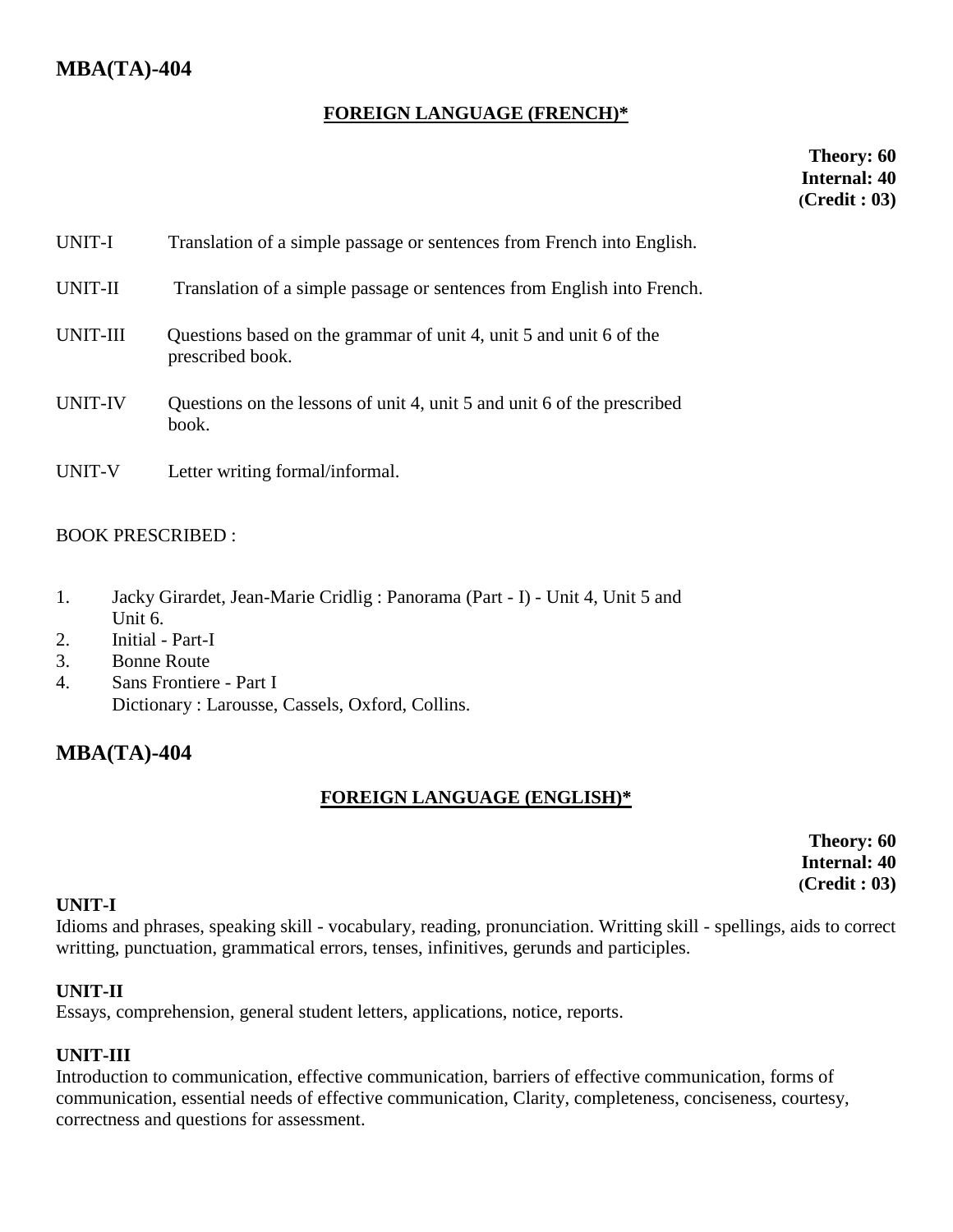# **FOREIGN LANGUAGE (FRENCH)\***

**Theory: 60 Internal: 40 (Credit : 03)**

| UNIT-I   | Translation of a simple passage or sentences from French into English.                 |
|----------|----------------------------------------------------------------------------------------|
| UNIT-II  | Translation of a simple passage or sentences from English into French.                 |
| UNIT-III | Questions based on the grammar of unit 4, unit 5 and unit 6 of the<br>prescribed book. |
| UNIT-IV  | Questions on the lessons of unit 4, unit 5 and unit 6 of the prescribed<br>book.       |
| UNIT-V   | Letter writing formal/informal.                                                        |

# BOOK PRESCRIBED :

- 1. Jacky Girardet, Jean-Marie Cridlig : Panorama (Part I) Unit 4, Unit 5 and Unit 6.
- 2. Initial Part-I
- 3. Bonne Route
- 4. Sans Frontiere Part I Dictionary : Larousse, Cassels, Oxford, Collins.

# **MBA(TA)-404**

# **FOREIGN LANGUAGE (ENGLISH)\***

**Theory: 60 Internal: 40 (Credit : 03)**

#### **UNIT-I**

Idioms and phrases, speaking skill - vocabulary, reading, pronunciation. Writting skill - spellings, aids to correct writting, punctuation, grammatical errors, tenses, infinitives, gerunds and participles.

#### **UNIT-II**

Essays, comprehension, general student letters, applications, notice, reports.

# **UNIT-III**

Introduction to communication, effective communication, barriers of effective communication, forms of communication, essential needs of effective communication, Clarity, completeness, conciseness, courtesy, correctness and questions for assessment.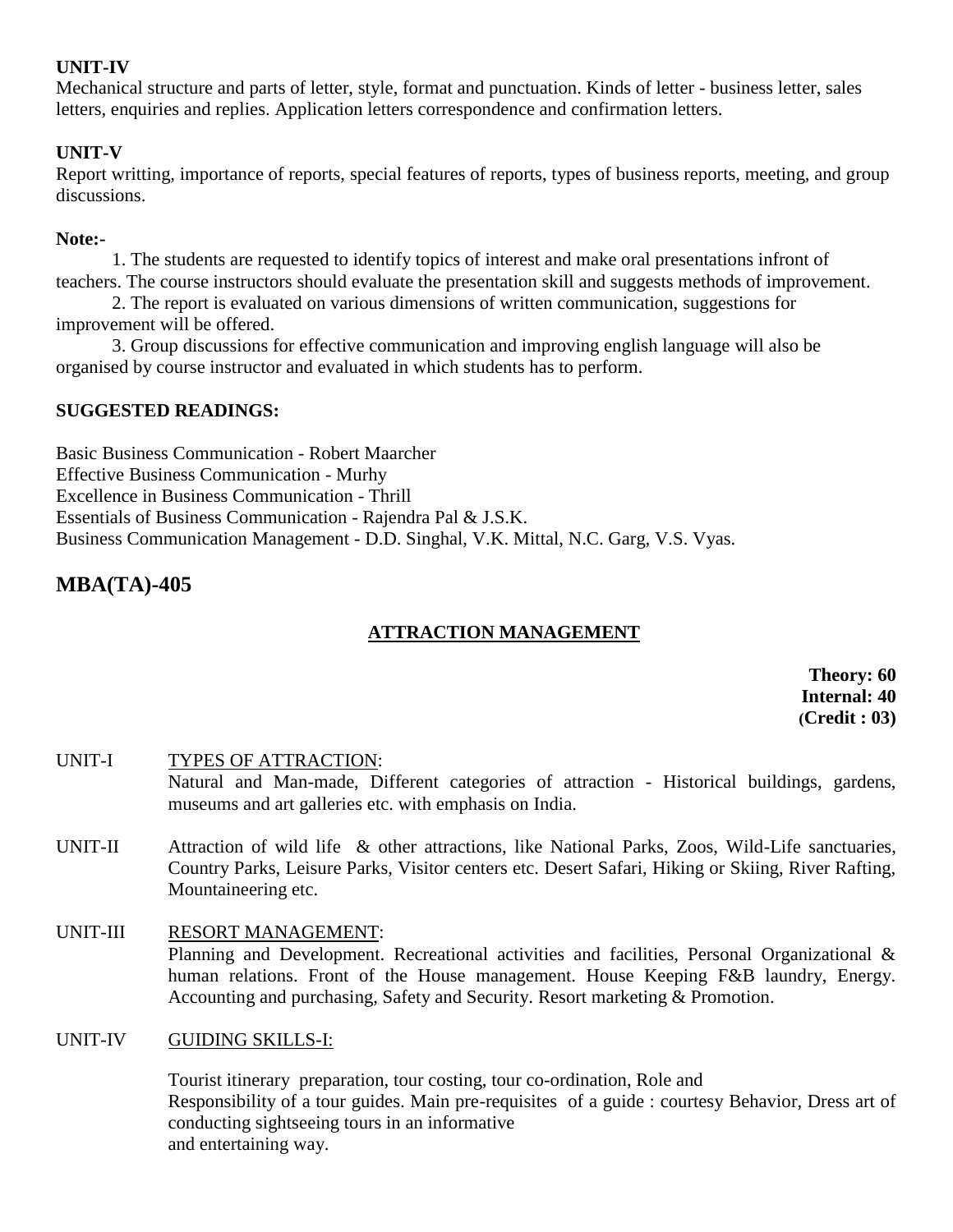# **UNIT-IV**

Mechanical structure and parts of letter, style, format and punctuation. Kinds of letter - business letter, sales letters, enquiries and replies. Application letters correspondence and confirmation letters.

# **UNIT-V**

Report writting, importance of reports, special features of reports, types of business reports, meeting, and group discussions.

## **Note:-**

1. The students are requested to identify topics of interest and make oral presentations infront of teachers. The course instructors should evaluate the presentation skill and suggests methods of improvement.

2. The report is evaluated on various dimensions of written communication, suggestions for improvement will be offered.

3. Group discussions for effective communication and improving english language will also be organised by course instructor and evaluated in which students has to perform.

# **SUGGESTED READINGS:**

Basic Business Communication - Robert Maarcher Effective Business Communication - Murhy Excellence in Business Communication - Thrill Essentials of Business Communication - Rajendra Pal & J.S.K. Business Communication Management - D.D. Singhal, V.K. Mittal, N.C. Garg, V.S. Vyas.

# **MBA(TA)-405**

# **ATTRACTION MANAGEMENT**

**Theory: 60 Internal: 40 (Credit : 03)**

UNIT-I TYPES OF ATTRACTION: Natural and Man-made, Different categories of attraction - Historical buildings, gardens, museums and art galleries etc. with emphasis on India.

- UNIT-II Attraction of wild life & other attractions, like National Parks, Zoos, Wild-Life sanctuaries, Country Parks, Leisure Parks, Visitor centers etc. Desert Safari, Hiking or Skiing, River Rafting, Mountaineering etc.
- UNIT-III RESORT MANAGEMENT: Planning and Development. Recreational activities and facilities, Personal Organizational & human relations. Front of the House management. House Keeping F&B laundry, Energy. Accounting and purchasing, Safety and Security. Resort marketing & Promotion.

# UNIT-IV GUIDING SKILLS-I:

 Tourist itinerary preparation, tour costing, tour co-ordination, Role and Responsibility of a tour guides. Main pre-requisites of a guide : courtesy Behavior, Dress art of conducting sightseeing tours in an informative and entertaining way.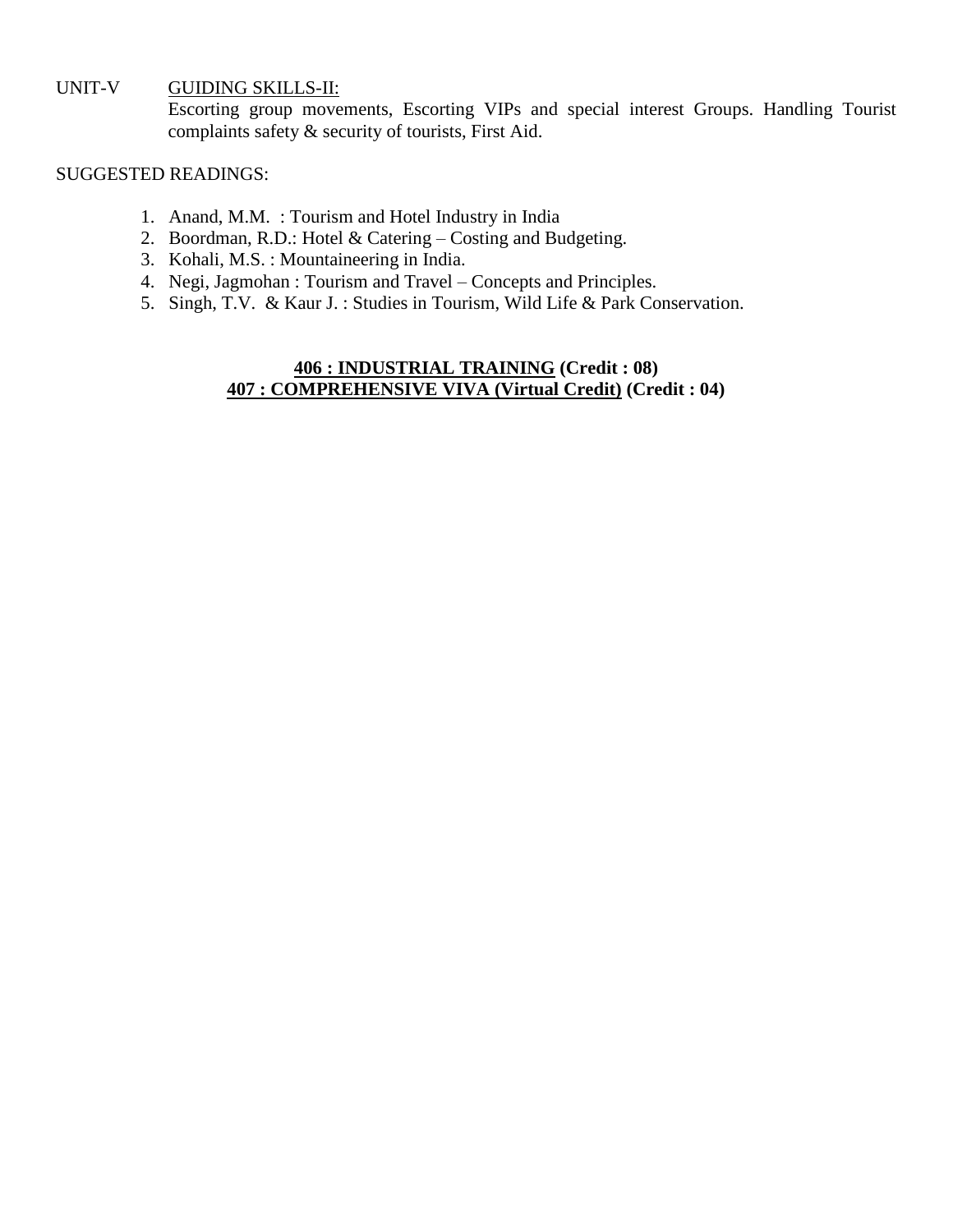#### UNIT-V GUIDING SKILLS-II:

Escorting group movements, Escorting VIPs and special interest Groups. Handling Tourist complaints safety & security of tourists, First Aid.

#### SUGGESTED READINGS:

- 1. Anand, M.M. : Tourism and Hotel Industry in India
- 2. Boordman, R.D.: Hotel & Catering Costing and Budgeting.
- 3. Kohali, M.S. : Mountaineering in India.
- 4. Negi, Jagmohan : Tourism and Travel Concepts and Principles.
- 5. Singh, T.V. & Kaur J. : Studies in Tourism, Wild Life & Park Conservation.

# **406 : INDUSTRIAL TRAINING (Credit : 08) 407 : COMPREHENSIVE VIVA (Virtual Credit) (Credit : 04)**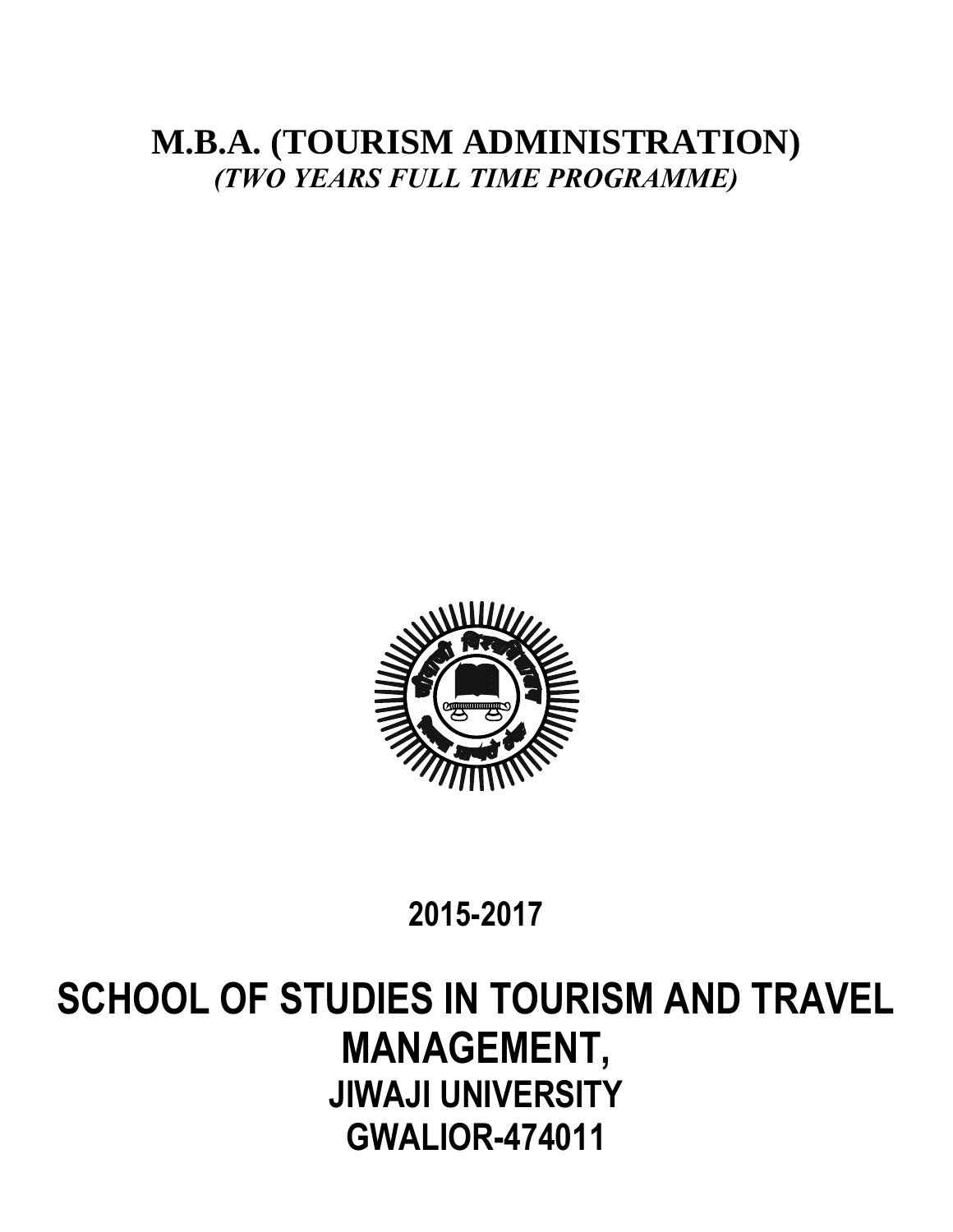# **M.B.A. (TOURISM ADMINISTRATION)** *(TWO YEARS FULL TIME PROGRAMME)*



# **2015-2017**

# **SCHOOL OF STUDIES IN TOURISM AND TRAVEL MANAGEMENT, JIWAJI UNIVERSITY GWALIOR-474011**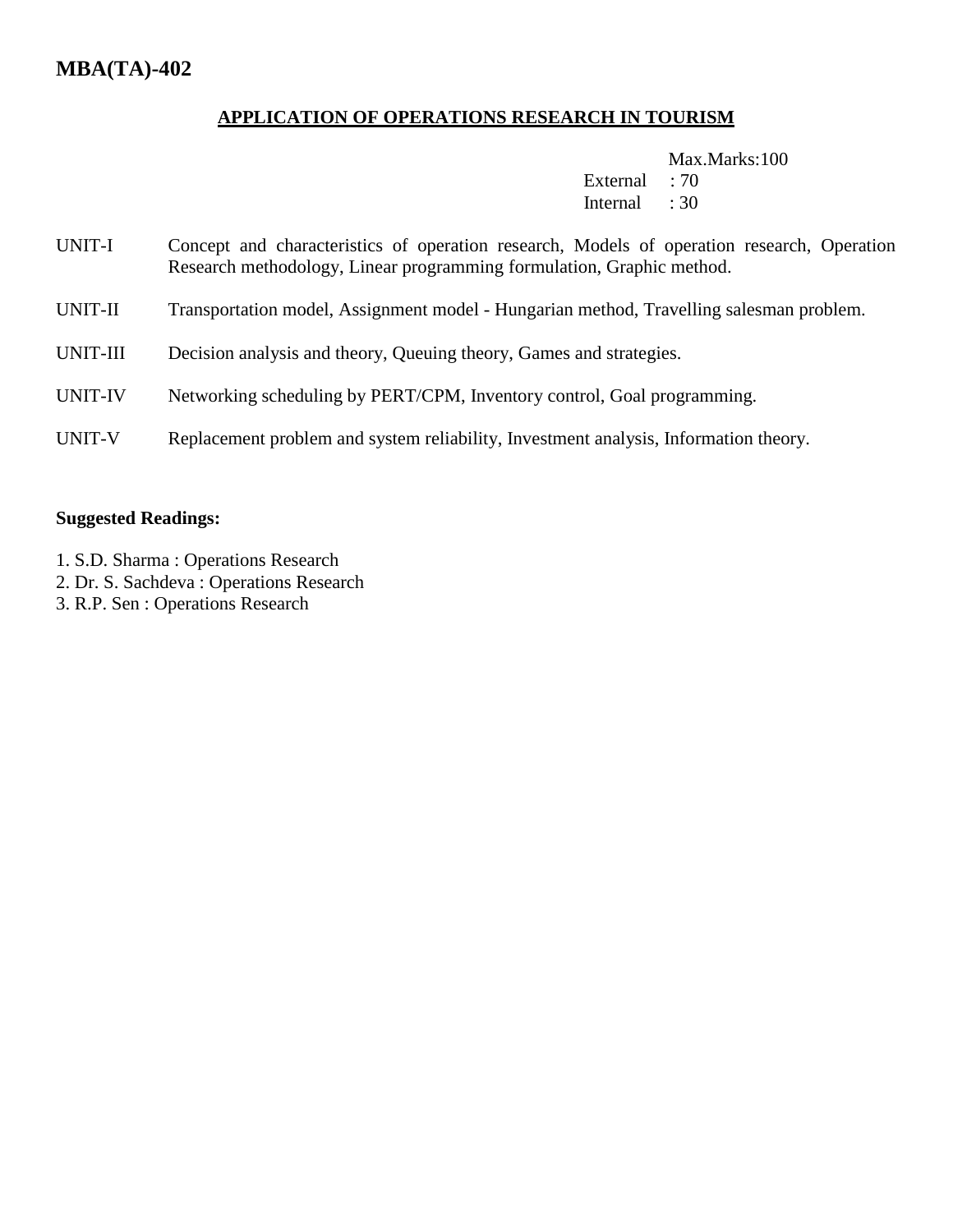# **APPLICATION OF OPERATIONS RESEARCH IN TOURISM**

Max.Marks:100

External : 70 Internal : 30

- UNIT-I Concept and characteristics of operation research, Models of operation research, Operation Research methodology, Linear programming formulation, Graphic method.
- UNIT-II Transportation model, Assignment model Hungarian method, Travelling salesman problem.
- UNIT-III Decision analysis and theory, Queuing theory, Games and strategies.
- UNIT-IV Networking scheduling by PERT/CPM, Inventory control, Goal programming.
- UNIT-V Replacement problem and system reliability, Investment analysis, Information theory.

#### **Suggested Readings:**

- 1. S.D. Sharma : Operations Research
- 2. Dr. S. Sachdeva : Operations Research
- 3. R.P. Sen : Operations Research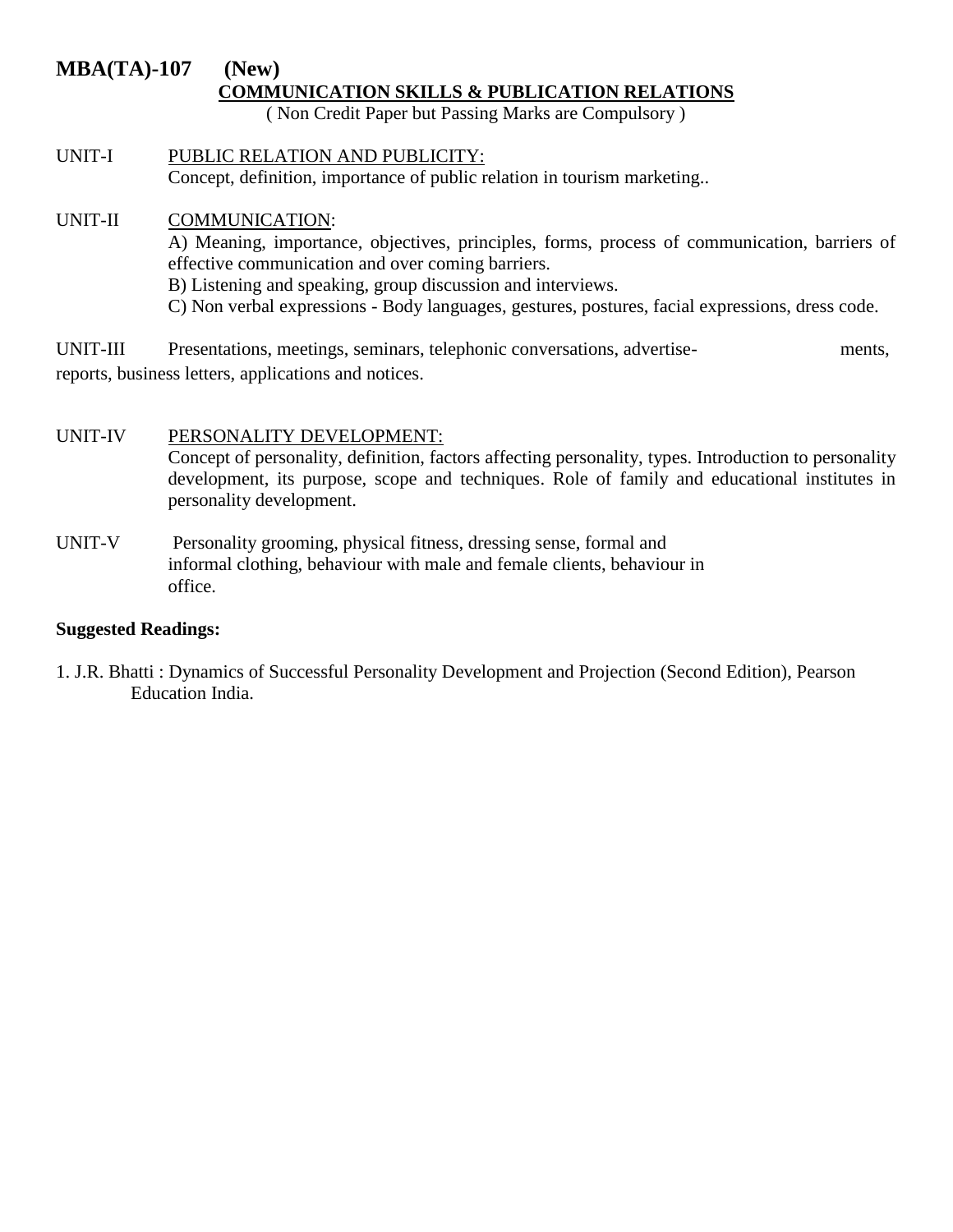# **MBA(TA)-107 (New) COMMUNICATION SKILLS & PUBLICATION RELATIONS**

( Non Credit Paper but Passing Marks are Compulsory )

UNIT-I PUBLIC RELATION AND PUBLICITY: Concept, definition, importance of public relation in tourism marketing..

# UNIT-II COMMUNICATION:

A) Meaning, importance, objectives, principles, forms, process of communication, barriers of effective communication and over coming barriers. B) Listening and speaking, group discussion and interviews.

C) Non verbal expressions - Body languages, gestures, postures, facial expressions, dress code.

UNIT-III Presentations, meetings, seminars, telephonic conversations, advertise- ments, reports, business letters, applications and notices.

# UNIT-IV PERSONALITY DEVELOPMENT:

Concept of personality, definition, factors affecting personality, types. Introduction to personality development, its purpose, scope and techniques. Role of family and educational institutes in personality development.

UNIT-V Personality grooming, physical fitness, dressing sense, formal and informal clothing, behaviour with male and female clients, behaviour in office.

# **Suggested Readings:**

1. J.R. Bhatti : Dynamics of Successful Personality Development and Projection (Second Edition), Pearson Education India.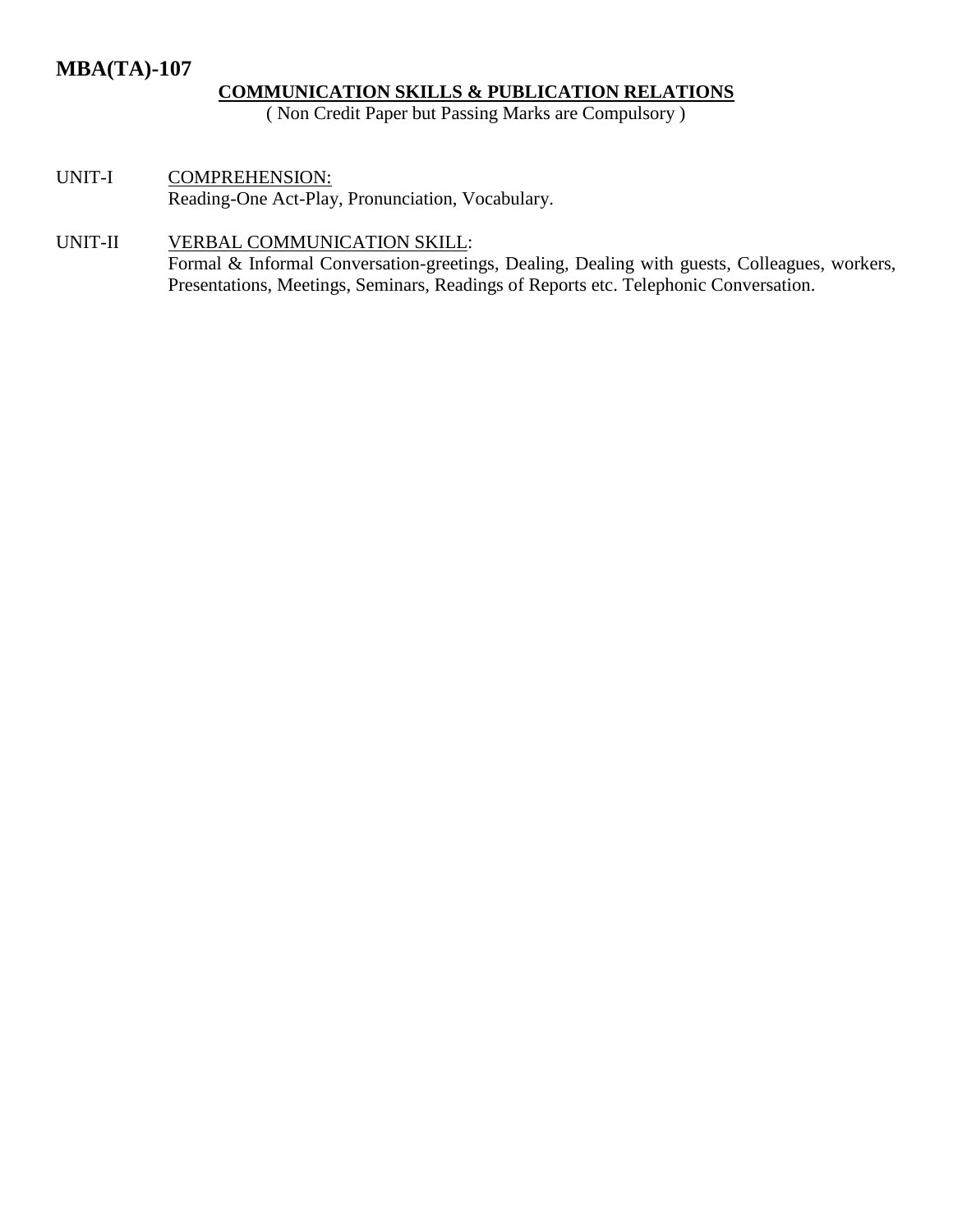# **MBA(TA)-107**

# **COMMUNICATION SKILLS & PUBLICATION RELATIONS**

( Non Credit Paper but Passing Marks are Compulsory )

UNIT-I COMPREHENSION: Reading-One Act-Play, Pronunciation, Vocabulary.

# UNIT-II VERBAL COMMUNICATION SKILL:

Formal & Informal Conversation-greetings, Dealing, Dealing with guests, Colleagues, workers, Presentations, Meetings, Seminars, Readings of Reports etc. Telephonic Conversation.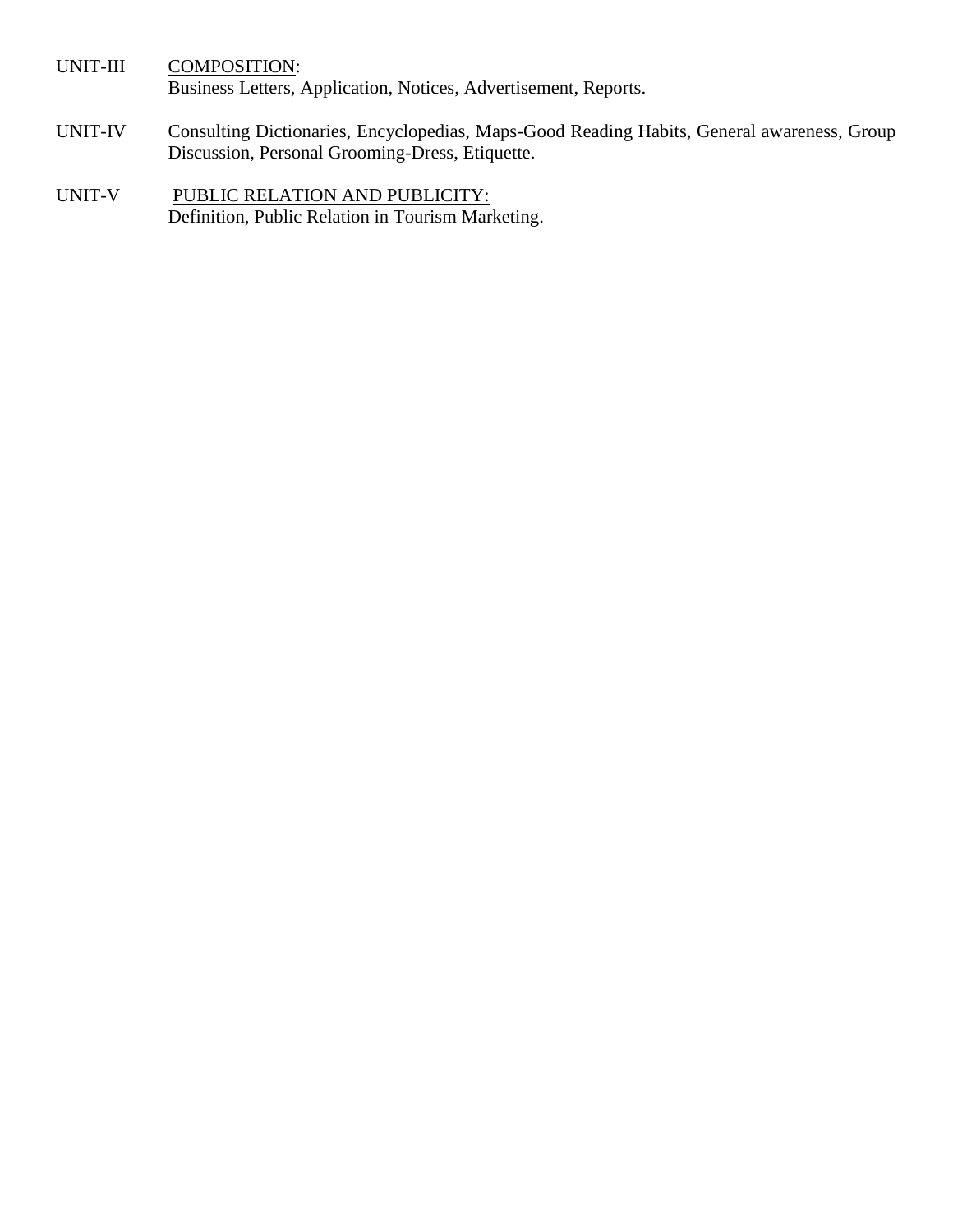UNIT-III COMPOSITION: Business Letters, Application, Notices, Advertisement, Reports.

- UNIT-IV Consulting Dictionaries, Encyclopedias, Maps-Good Reading Habits, General awareness, Group Discussion, Personal Grooming-Dress, Etiquette.
- UNIT-V PUBLIC RELATION AND PUBLICITY: Definition, Public Relation in Tourism Marketing.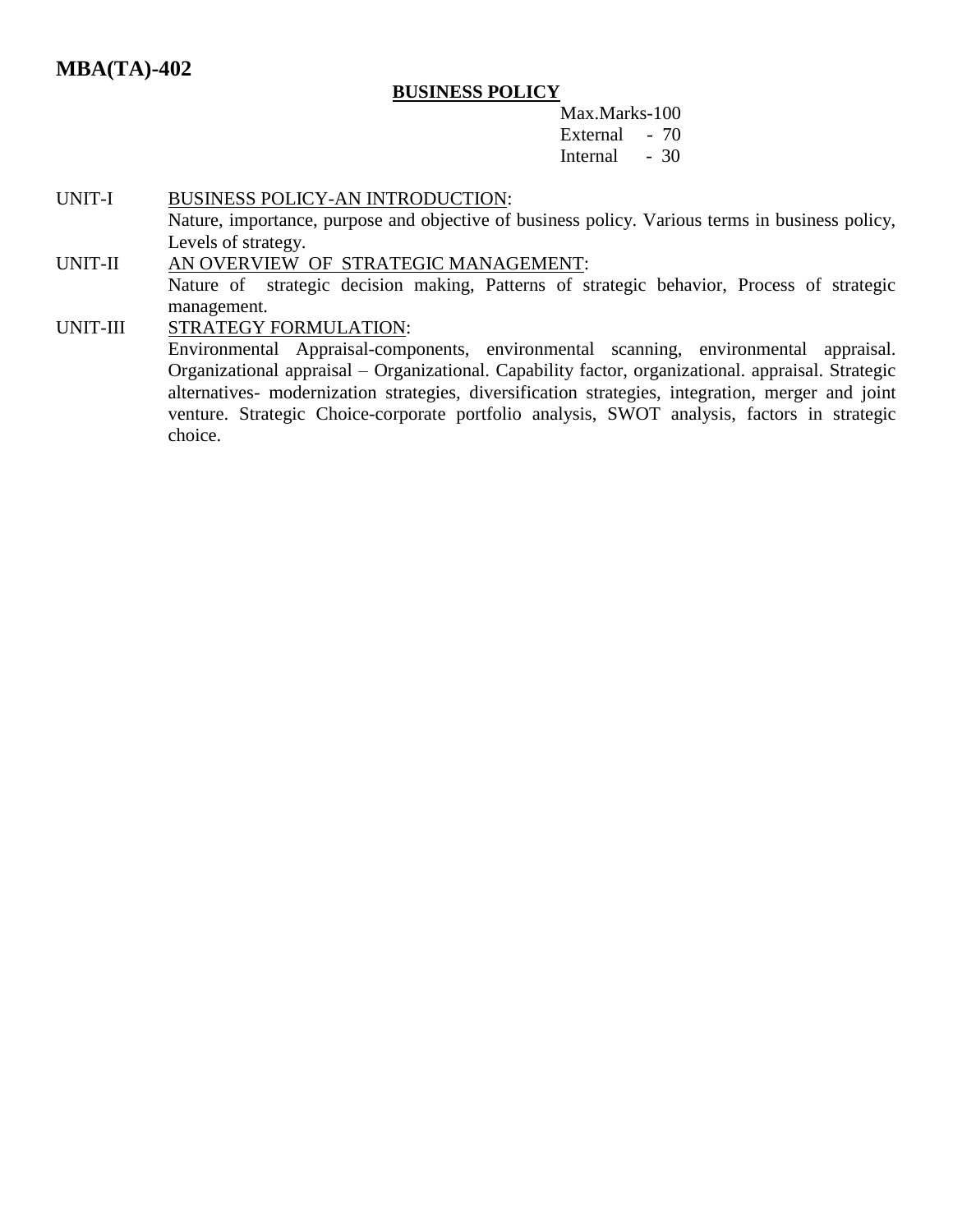# **MBA(TA)-402**

#### **BUSINESS POLICY**

Max.Marks-100 External - 70 Internal - 30

#### UNIT-I BUSINESS POLICY-AN INTRODUCTION:

Nature, importance, purpose and objective of business policy. Various terms in business policy, Levels of strategy.

#### UNIT-II AN OVERVIEW OF STRATEGIC MANAGEMENT:

Nature of strategic decision making, Patterns of strategic behavior, Process of strategic management.

#### UNIT-III STRATEGY FORMULATION:

Environmental Appraisal-components, environmental scanning, environmental appraisal. Organizational appraisal – Organizational. Capability factor, organizational. appraisal. Strategic alternatives- modernization strategies, diversification strategies, integration, merger and joint venture. Strategic Choice-corporate portfolio analysis, SWOT analysis, factors in strategic choice.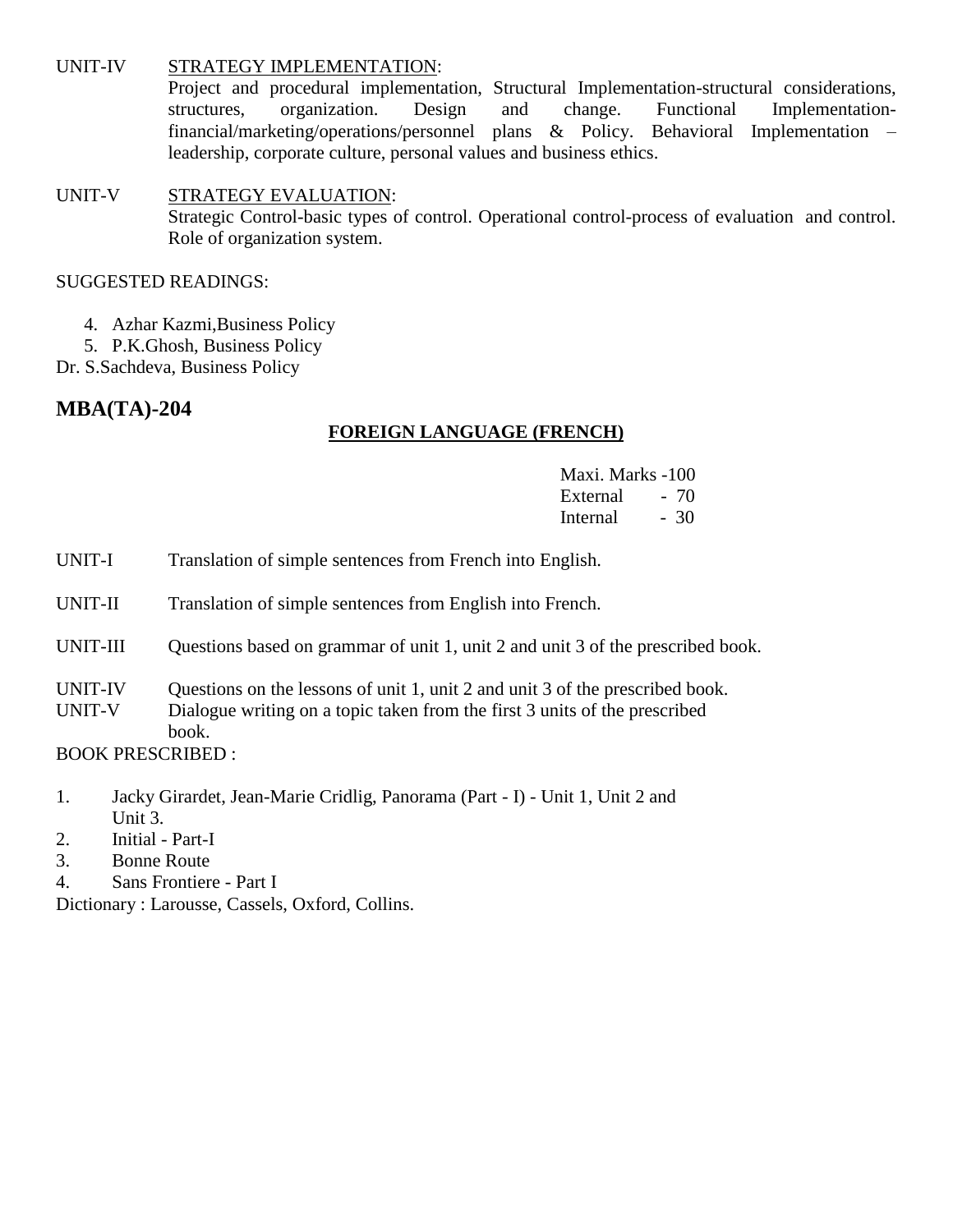#### UNIT-IV STRATEGY IMPLEMENTATION:

Project and procedural implementation, Structural Implementation-structural considerations, structures, organization. Design and change. Functional Implementationfinancial/marketing/operations/personnel plans & Policy. Behavioral Implementation – leadership, corporate culture, personal values and business ethics.

# UNIT-V STRATEGY EVALUATION: Strategic Control-basic types of control. Operational control-process of evaluation and control. Role of organization system.

### SUGGESTED READINGS:

- 4. Azhar Kazmi,Business Policy
- 5. P.K.Ghosh, Business Policy
- Dr. S.Sachdeva, Business Policy

# **MBA(TA)-204**

# **FOREIGN LANGUAGE (FRENCH)**

- Maxi. Marks -100 External - 70 Internal - 30
- UNIT-I Translation of simple sentences from French into English.
- UNIT-II Translation of simple sentences from English into French.
- UNIT-III Questions based on grammar of unit 1, unit 2 and unit 3 of the prescribed book.
- UNIT-IV Questions on the lessons of unit 1, unit 2 and unit 3 of the prescribed book.
- UNIT-V Dialogue writing on a topic taken from the first 3 units of the prescribed book.

BOOK PRESCRIBED :

- 1. Jacky Girardet, Jean-Marie Cridlig, Panorama (Part I) Unit 1, Unit 2 and Unit 3.
- 2. Initial Part-I
- 3. Bonne Route
- 4. Sans Frontiere Part I

Dictionary : Larousse, Cassels, Oxford, Collins.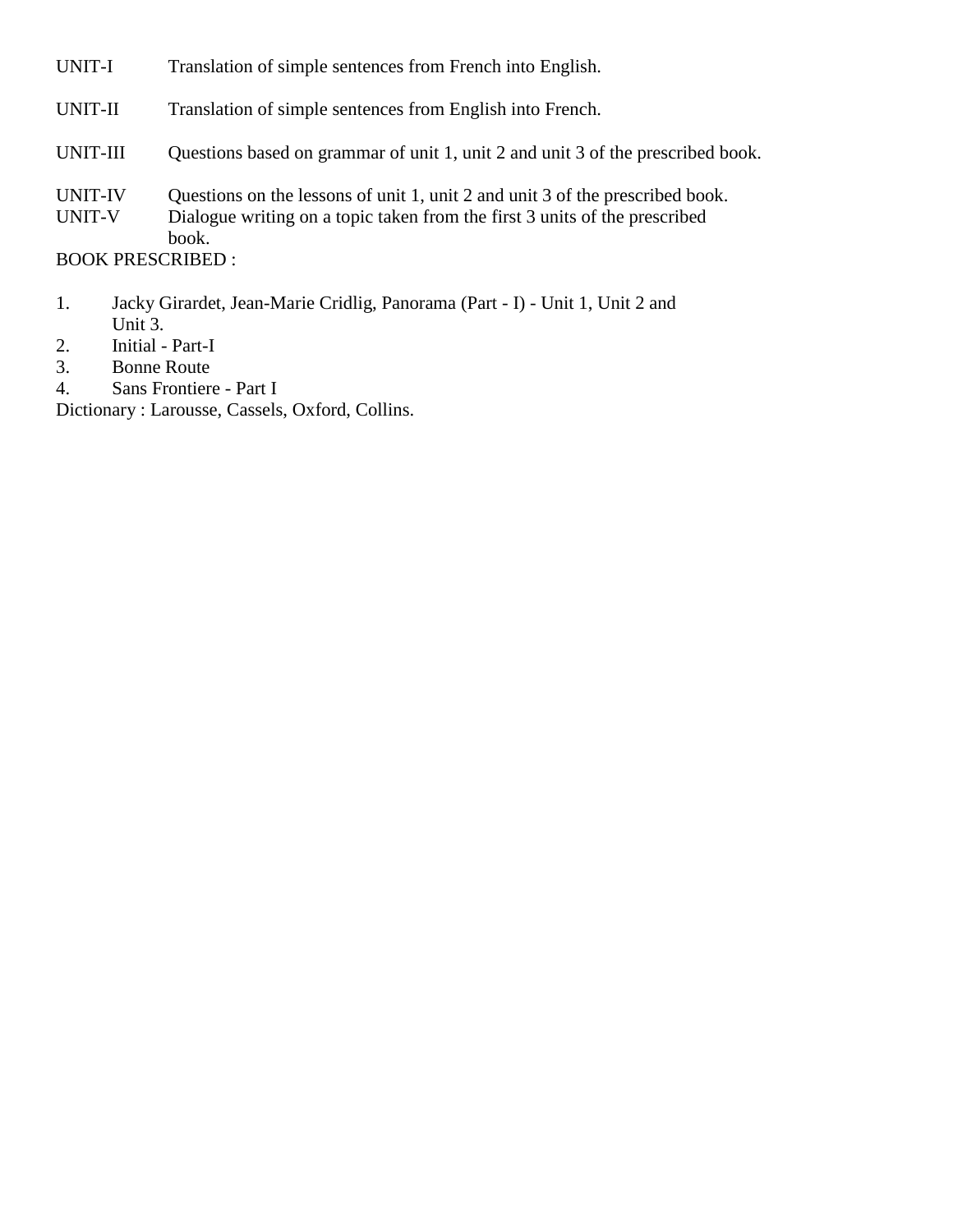| UNIT-I                   | Translation of simple sentences from French into English.                                                                                                            |
|--------------------------|----------------------------------------------------------------------------------------------------------------------------------------------------------------------|
| UNIT-II                  | Translation of simple sentences from English into French.                                                                                                            |
| UNIT-III                 | Questions based on grammar of unit 1, unit 2 and unit 3 of the prescribed book.                                                                                      |
| <b>UNIT-IV</b><br>UNIT-V | Questions on the lessons of unit 1, unit 2 and unit 3 of the prescribed book.<br>Dialogue writing on a topic taken from the first 3 units of the prescribed<br>book. |
| <b>BOOK PRESCRIBED:</b>  |                                                                                                                                                                      |

- 1. Jacky Girardet, Jean-Marie Cridlig, Panorama (Part I) Unit 1, Unit 2 and Unit 3.
- 2. Initial Part-I
- 3. Bonne Route<br>4. Sans Frontiere
- Sans Frontiere Part I

Dictionary : Larousse, Cassels, Oxford, Collins.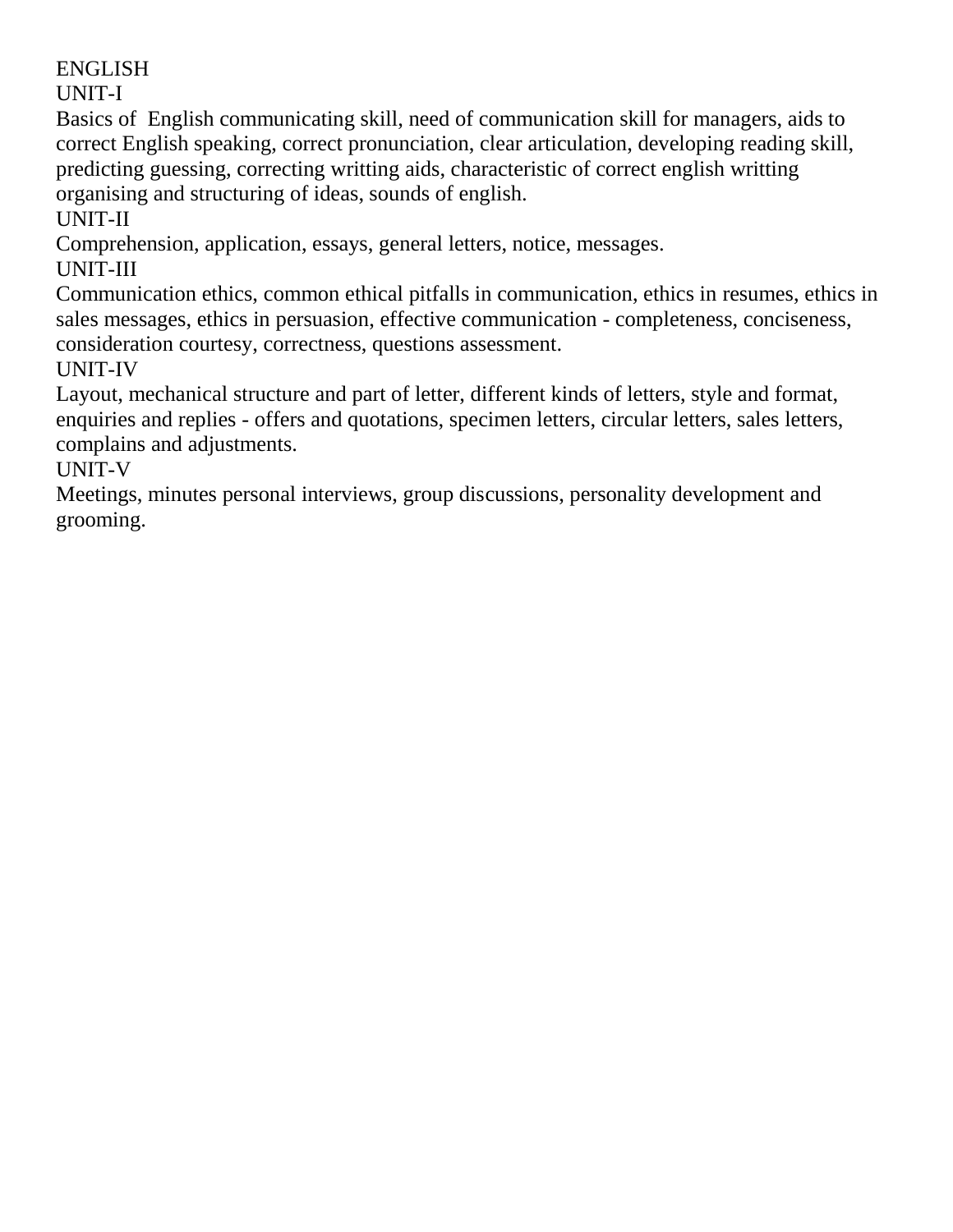UNIT-I

Basics of English communicating skill, need of communication skill for managers, aids to correct English speaking, correct pronunciation, clear articulation, developing reading skill, predicting guessing, correcting writting aids, characteristic of correct english writting organising and structuring of ideas, sounds of english.

UNIT-II

Comprehension, application, essays, general letters, notice, messages.

UNIT-III

Communication ethics, common ethical pitfalls in communication, ethics in resumes, ethics in sales messages, ethics in persuasion, effective communication - completeness, conciseness, consideration courtesy, correctness, questions assessment.

UNIT-IV

Layout, mechanical structure and part of letter, different kinds of letters, style and format, enquiries and replies - offers and quotations, specimen letters, circular letters, sales letters, complains and adjustments.

UNIT-V

Meetings, minutes personal interviews, group discussions, personality development and grooming.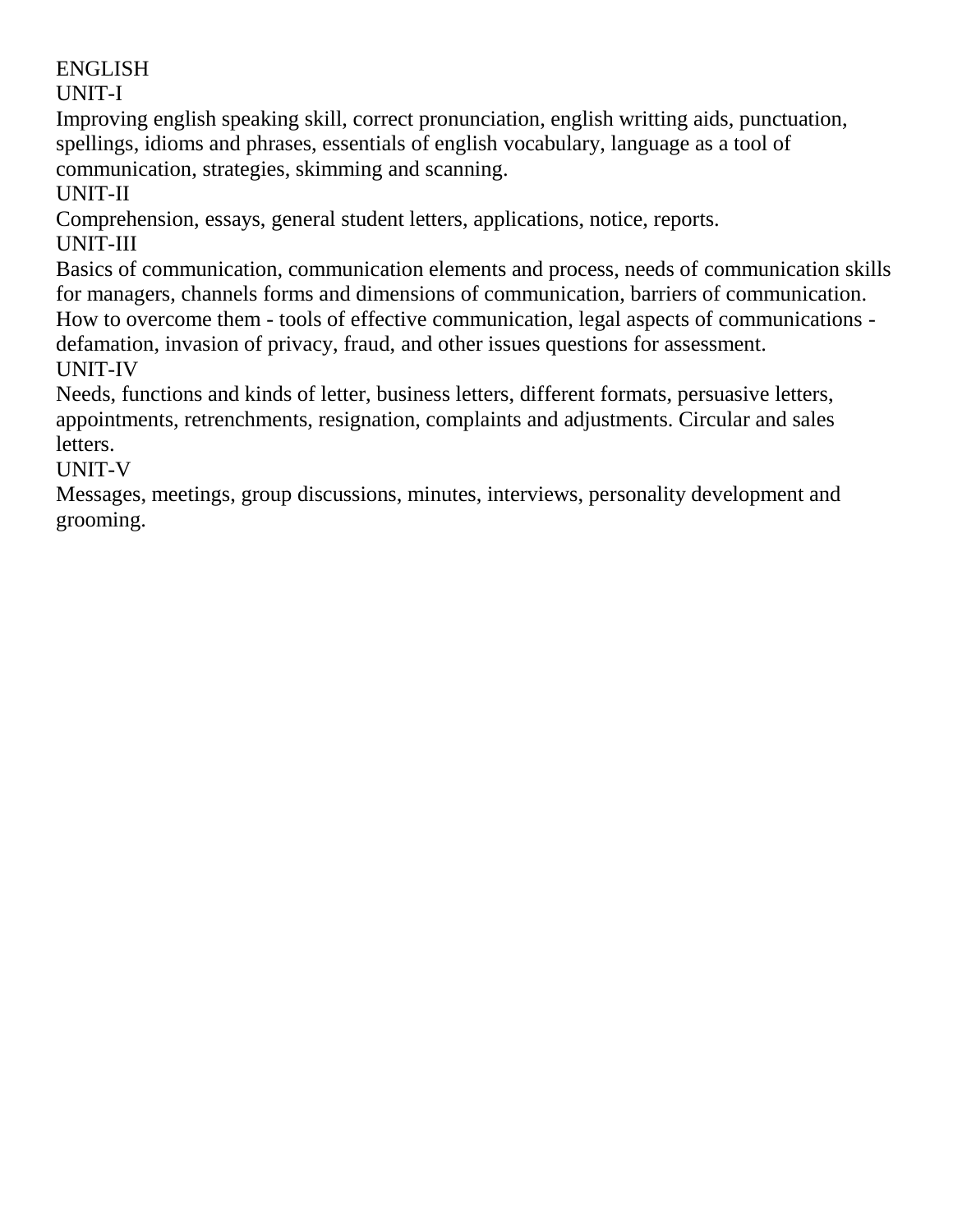UNIT-I

Improving english speaking skill, correct pronunciation, english writting aids, punctuation, spellings, idioms and phrases, essentials of english vocabulary, language as a tool of communication, strategies, skimming and scanning.

UNIT-II

Comprehension, essays, general student letters, applications, notice, reports. UNIT-III

Basics of communication, communication elements and process, needs of communication skills for managers, channels forms and dimensions of communication, barriers of communication. How to overcome them - tools of effective communication, legal aspects of communications -

defamation, invasion of privacy, fraud, and other issues questions for assessment. UNIT-IV

Needs, functions and kinds of letter, business letters, different formats, persuasive letters, appointments, retrenchments, resignation, complaints and adjustments. Circular and sales letters.

UNIT-V

Messages, meetings, group discussions, minutes, interviews, personality development and grooming.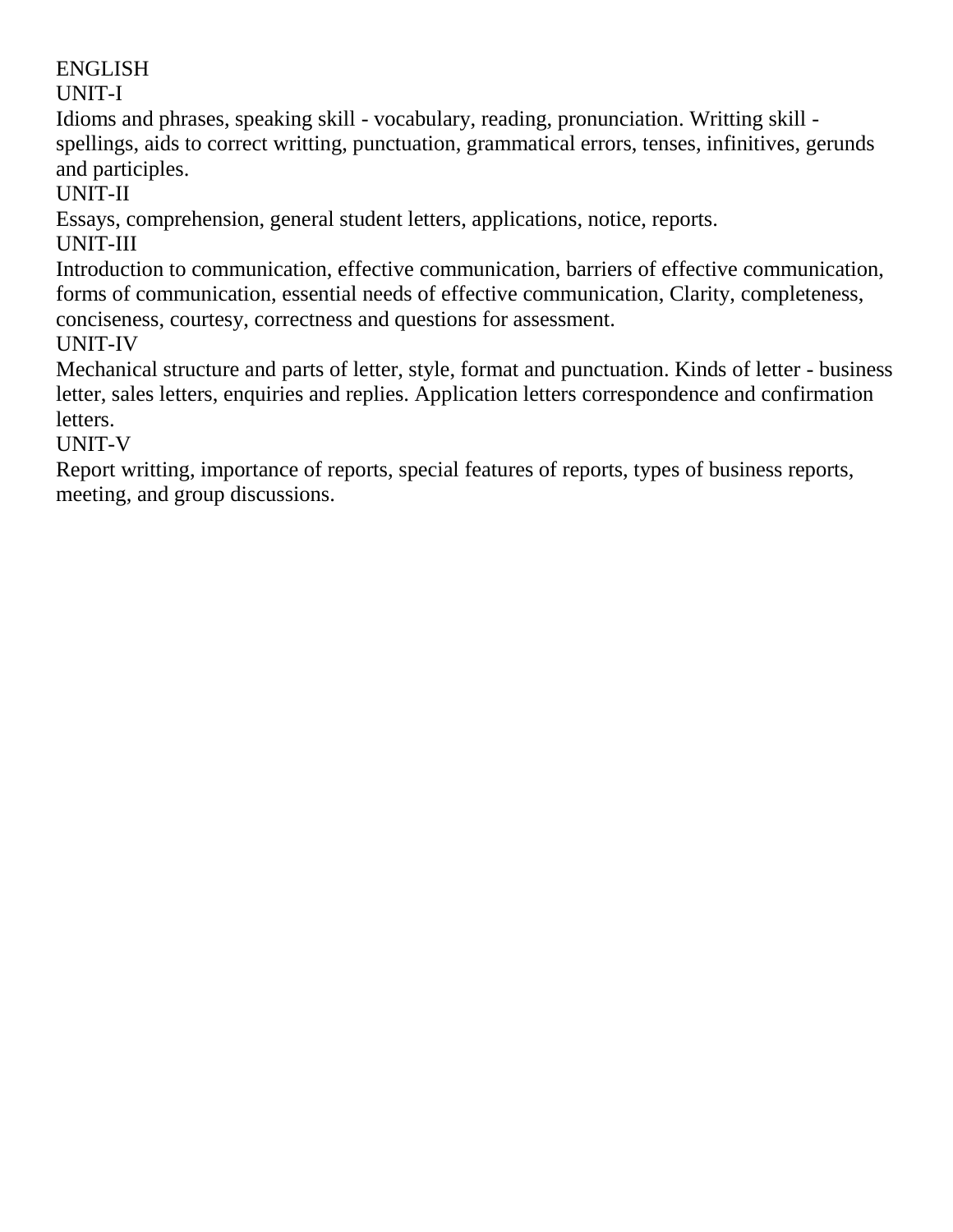UNIT-I

Idioms and phrases, speaking skill - vocabulary, reading, pronunciation. Writting skill spellings, aids to correct writting, punctuation, grammatical errors, tenses, infinitives, gerunds and participles.

UNIT-II

Essays, comprehension, general student letters, applications, notice, reports.

UNIT-III

Introduction to communication, effective communication, barriers of effective communication, forms of communication, essential needs of effective communication, Clarity, completeness, conciseness, courtesy, correctness and questions for assessment. UNIT-IV

Mechanical structure and parts of letter, style, format and punctuation. Kinds of letter - business letter, sales letters, enquiries and replies. Application letters correspondence and confirmation letters.

UNIT-V

Report writting, importance of reports, special features of reports, types of business reports, meeting, and group discussions.